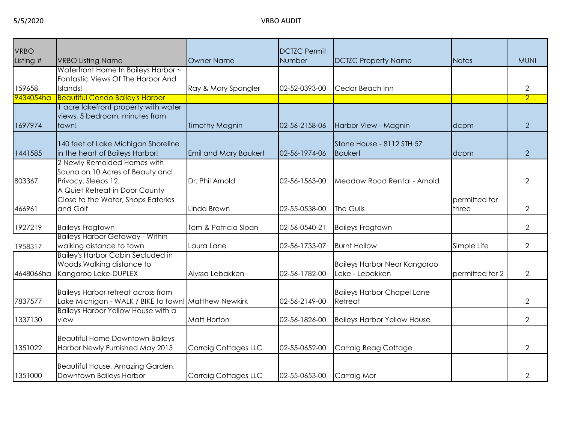| <b>VRBO</b> |                                                                                                   |                              | <b>DCTZC Permit</b> |                                                        |                        |                |
|-------------|---------------------------------------------------------------------------------------------------|------------------------------|---------------------|--------------------------------------------------------|------------------------|----------------|
| Listing #   | <b>VRBO Listing Name</b>                                                                          | Owner Name                   | Number              | <b>DCTZC Property Name</b>                             | <b>Notes</b>           | <b>MUNI</b>    |
| 159658      | Waterfront Home In Baileys Harbor ~<br>Fantastic Views Of The Harbor And<br>Islands!              | Ray & Mary Spangler          | 02-52-0393-00       | Cedar Beach Inn                                        |                        | 2              |
| 9434054ha   | <b>Beautiful Condo Bailey's Harbor</b>                                                            |                              |                     |                                                        |                        | $\overline{2}$ |
| 1697974     | I acre lakefront property with water<br>views, 5 bedroom, minutes from<br>town!                   | <b>Timothy Magnin</b>        | 02-56-2158-06       | Harbor View - Magnin                                   | dcpm                   | $\overline{2}$ |
| 1441585     | 140 feet of Lake Michigan Shoreline<br>in the heart of Baileys Harbor!                            | <b>Emil and Mary Baukert</b> | 02-56-1974-06       | Stone House - 8112 STH 57<br><b>Baukert</b>            | dcpm                   | 2              |
| 803367      | 2 Newly Remolded Homes with<br>Sauna on 10 Acres of Beauty and<br>Privacy. Sleeps 12.             | Dr. Phil Arnold              | 02-56-1563-00       | Meadow Road Rental - Arnold                            |                        | $\overline{2}$ |
| 466961      | A Quiet Retreat in Door County<br>Close to the Water, Shops Eateries<br>and Golf                  | Linda Brown                  | 02-55-0538-00       | The Gulls                                              | permitted for<br>three | $\overline{2}$ |
| 1927219     | <b>Baileys Frogtown</b>                                                                           | Tom & Patricia Sloan         | 02-56-0540-21       | <b>Baileys Frogtown</b>                                |                        | $\overline{2}$ |
| 1958317     | <b>Baileys Harbor Getaway - Within</b><br>walking distance to town                                | Laura Lane                   | 02-56-1733-07       | <b>Burnt Hollow</b>                                    | Simple Life            | $\overline{2}$ |
| 4648066ha   | <b>Bailey's Harbor Cabin Secluded in</b><br>Woods, Walking distance to<br>Kangaroo Lake-DUPLEX    | Alyssa Lebakken              | 02-56-1782-00       | <b>Baileys Harbor Near Kangaroo</b><br>Lake - Lebakken | permitted for 2        | $\overline{2}$ |
| 7837577     | <b>Baileys Harbor retreat across from</b><br>Lake Michigan - WALK / BIKE to town! Matthew Newkirk |                              | 02-56-2149-00       | <b>Baileys Harbor Chapel Lane</b><br>Retreat           |                        | $\overline{2}$ |
| 1337130     | Baileys Harbor Yellow House with a<br>view                                                        | Matt Horton                  | 02-56-1826-00       | <b>Baileys Harbor Yellow House</b>                     |                        | $\overline{2}$ |
| 1351022     | <b>Beautiful Home Downtown Baileys</b><br>Harbor Newly Furnished May 2015                         | <b>Carraig Cottages LLC</b>  | 02-55-0652-00       | Carraig Beag Cottage                                   |                        | $\overline{2}$ |
| 1351000     | Beautiful House, Amazing Garden,<br>Downtown Baileys Harbor                                       | <b>Carraig Cottages LLC</b>  | 02-55-0653-00       | Carraig Mor                                            |                        | 2              |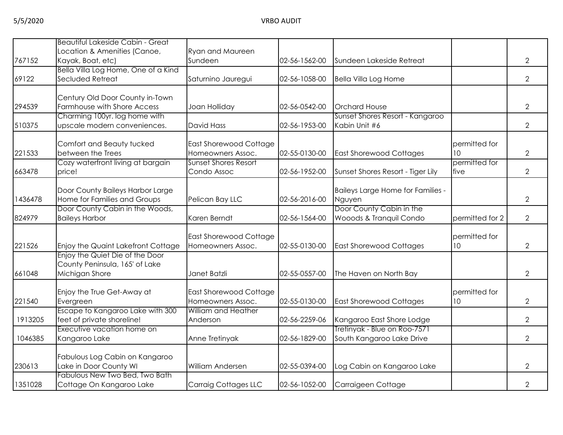| <b>Beautiful Lakeside Cabin - Great</b> |                                                                                                                                                                                                                                                                                                                                                                                                                                                                                                                                                                                     |                                                                                                                                                                                                                                                                                                                            |                                                                                                                                      |                                                                                                                                                                                                                                                                                           |                                                                                                       |
|-----------------------------------------|-------------------------------------------------------------------------------------------------------------------------------------------------------------------------------------------------------------------------------------------------------------------------------------------------------------------------------------------------------------------------------------------------------------------------------------------------------------------------------------------------------------------------------------------------------------------------------------|----------------------------------------------------------------------------------------------------------------------------------------------------------------------------------------------------------------------------------------------------------------------------------------------------------------------------|--------------------------------------------------------------------------------------------------------------------------------------|-------------------------------------------------------------------------------------------------------------------------------------------------------------------------------------------------------------------------------------------------------------------------------------------|-------------------------------------------------------------------------------------------------------|
|                                         |                                                                                                                                                                                                                                                                                                                                                                                                                                                                                                                                                                                     |                                                                                                                                                                                                                                                                                                                            |                                                                                                                                      |                                                                                                                                                                                                                                                                                           |                                                                                                       |
|                                         |                                                                                                                                                                                                                                                                                                                                                                                                                                                                                                                                                                                     |                                                                                                                                                                                                                                                                                                                            |                                                                                                                                      |                                                                                                                                                                                                                                                                                           | $\overline{2}$                                                                                        |
|                                         |                                                                                                                                                                                                                                                                                                                                                                                                                                                                                                                                                                                     |                                                                                                                                                                                                                                                                                                                            |                                                                                                                                      |                                                                                                                                                                                                                                                                                           | $\overline{2}$                                                                                        |
|                                         |                                                                                                                                                                                                                                                                                                                                                                                                                                                                                                                                                                                     |                                                                                                                                                                                                                                                                                                                            |                                                                                                                                      |                                                                                                                                                                                                                                                                                           |                                                                                                       |
|                                         |                                                                                                                                                                                                                                                                                                                                                                                                                                                                                                                                                                                     |                                                                                                                                                                                                                                                                                                                            |                                                                                                                                      |                                                                                                                                                                                                                                                                                           |                                                                                                       |
| Farmhouse with Shore Access             |                                                                                                                                                                                                                                                                                                                                                                                                                                                                                                                                                                                     | 02-56-0542-00                                                                                                                                                                                                                                                                                                              | <b>Orchard House</b>                                                                                                                 |                                                                                                                                                                                                                                                                                           | $\overline{2}$                                                                                        |
| Charming 100yr. log home with           |                                                                                                                                                                                                                                                                                                                                                                                                                                                                                                                                                                                     |                                                                                                                                                                                                                                                                                                                            | Sunset Shores Resort - Kangaroo                                                                                                      |                                                                                                                                                                                                                                                                                           |                                                                                                       |
| upscale modern conveniences.            | <b>David Hass</b>                                                                                                                                                                                                                                                                                                                                                                                                                                                                                                                                                                   | 02-56-1953-00                                                                                                                                                                                                                                                                                                              | Kabin Unit #6                                                                                                                        |                                                                                                                                                                                                                                                                                           | $\overline{2}$                                                                                        |
|                                         |                                                                                                                                                                                                                                                                                                                                                                                                                                                                                                                                                                                     |                                                                                                                                                                                                                                                                                                                            |                                                                                                                                      |                                                                                                                                                                                                                                                                                           |                                                                                                       |
|                                         |                                                                                                                                                                                                                                                                                                                                                                                                                                                                                                                                                                                     |                                                                                                                                                                                                                                                                                                                            |                                                                                                                                      |                                                                                                                                                                                                                                                                                           | $\overline{2}$                                                                                        |
|                                         |                                                                                                                                                                                                                                                                                                                                                                                                                                                                                                                                                                                     |                                                                                                                                                                                                                                                                                                                            |                                                                                                                                      |                                                                                                                                                                                                                                                                                           |                                                                                                       |
| price!                                  | Condo Assoc                                                                                                                                                                                                                                                                                                                                                                                                                                                                                                                                                                         | 02-56-1952-00                                                                                                                                                                                                                                                                                                              | Sunset Shores Resort - Tiger Lily                                                                                                    | five                                                                                                                                                                                                                                                                                      | $\overline{2}$                                                                                        |
|                                         |                                                                                                                                                                                                                                                                                                                                                                                                                                                                                                                                                                                     |                                                                                                                                                                                                                                                                                                                            |                                                                                                                                      |                                                                                                                                                                                                                                                                                           |                                                                                                       |
| Door County Baileys Harbor Large        |                                                                                                                                                                                                                                                                                                                                                                                                                                                                                                                                                                                     |                                                                                                                                                                                                                                                                                                                            | Baileys Large Home for Families -                                                                                                    |                                                                                                                                                                                                                                                                                           |                                                                                                       |
|                                         |                                                                                                                                                                                                                                                                                                                                                                                                                                                                                                                                                                                     |                                                                                                                                                                                                                                                                                                                            |                                                                                                                                      |                                                                                                                                                                                                                                                                                           | $\overline{2}$                                                                                        |
|                                         |                                                                                                                                                                                                                                                                                                                                                                                                                                                                                                                                                                                     |                                                                                                                                                                                                                                                                                                                            |                                                                                                                                      |                                                                                                                                                                                                                                                                                           |                                                                                                       |
|                                         |                                                                                                                                                                                                                                                                                                                                                                                                                                                                                                                                                                                     |                                                                                                                                                                                                                                                                                                                            |                                                                                                                                      |                                                                                                                                                                                                                                                                                           | $\overline{2}$                                                                                        |
|                                         |                                                                                                                                                                                                                                                                                                                                                                                                                                                                                                                                                                                     |                                                                                                                                                                                                                                                                                                                            |                                                                                                                                      |                                                                                                                                                                                                                                                                                           |                                                                                                       |
|                                         | Homeowners Assoc.                                                                                                                                                                                                                                                                                                                                                                                                                                                                                                                                                                   | 02-55-0130-00                                                                                                                                                                                                                                                                                                              |                                                                                                                                      |                                                                                                                                                                                                                                                                                           | $\overline{2}$                                                                                        |
| Enjoy the Quiet Die of the Door         |                                                                                                                                                                                                                                                                                                                                                                                                                                                                                                                                                                                     |                                                                                                                                                                                                                                                                                                                            |                                                                                                                                      |                                                                                                                                                                                                                                                                                           |                                                                                                       |
| County Peninsula, 165' of Lake          |                                                                                                                                                                                                                                                                                                                                                                                                                                                                                                                                                                                     |                                                                                                                                                                                                                                                                                                                            |                                                                                                                                      |                                                                                                                                                                                                                                                                                           |                                                                                                       |
| Michigan Shore                          | Janet Batzli                                                                                                                                                                                                                                                                                                                                                                                                                                                                                                                                                                        | 02-55-0557-00                                                                                                                                                                                                                                                                                                              | The Haven on North Bay                                                                                                               |                                                                                                                                                                                                                                                                                           | $\overline{2}$                                                                                        |
|                                         |                                                                                                                                                                                                                                                                                                                                                                                                                                                                                                                                                                                     |                                                                                                                                                                                                                                                                                                                            |                                                                                                                                      |                                                                                                                                                                                                                                                                                           |                                                                                                       |
|                                         |                                                                                                                                                                                                                                                                                                                                                                                                                                                                                                                                                                                     |                                                                                                                                                                                                                                                                                                                            |                                                                                                                                      |                                                                                                                                                                                                                                                                                           | $\overline{2}$                                                                                        |
|                                         |                                                                                                                                                                                                                                                                                                                                                                                                                                                                                                                                                                                     |                                                                                                                                                                                                                                                                                                                            |                                                                                                                                      |                                                                                                                                                                                                                                                                                           |                                                                                                       |
|                                         |                                                                                                                                                                                                                                                                                                                                                                                                                                                                                                                                                                                     |                                                                                                                                                                                                                                                                                                                            |                                                                                                                                      |                                                                                                                                                                                                                                                                                           | $\overline{2}$                                                                                        |
| Executive vacation home on              |                                                                                                                                                                                                                                                                                                                                                                                                                                                                                                                                                                                     |                                                                                                                                                                                                                                                                                                                            | Tretinyak - Blue on Roo-7571                                                                                                         |                                                                                                                                                                                                                                                                                           |                                                                                                       |
| Kangaroo Lake                           | Anne Tretinyak                                                                                                                                                                                                                                                                                                                                                                                                                                                                                                                                                                      | 02-56-1829-00                                                                                                                                                                                                                                                                                                              | South Kangaroo Lake Drive                                                                                                            |                                                                                                                                                                                                                                                                                           | $\overline{2}$                                                                                        |
|                                         |                                                                                                                                                                                                                                                                                                                                                                                                                                                                                                                                                                                     |                                                                                                                                                                                                                                                                                                                            |                                                                                                                                      |                                                                                                                                                                                                                                                                                           |                                                                                                       |
|                                         |                                                                                                                                                                                                                                                                                                                                                                                                                                                                                                                                                                                     |                                                                                                                                                                                                                                                                                                                            |                                                                                                                                      |                                                                                                                                                                                                                                                                                           | $\overline{2}$                                                                                        |
|                                         |                                                                                                                                                                                                                                                                                                                                                                                                                                                                                                                                                                                     |                                                                                                                                                                                                                                                                                                                            |                                                                                                                                      |                                                                                                                                                                                                                                                                                           |                                                                                                       |
| Cottage On Kangaroo Lake                | <b>Carraig Cottages LLC</b>                                                                                                                                                                                                                                                                                                                                                                                                                                                                                                                                                         | 02-56-1052-00                                                                                                                                                                                                                                                                                                              | Carraigeen Cottage                                                                                                                   |                                                                                                                                                                                                                                                                                           | $\overline{2}$                                                                                        |
|                                         | Location & Amenities (Canoe,<br>Kayak, Boat, etc)<br>Bella Villa Log Home, One of a Kind<br>Secluded Retreat<br>Century Old Door County in-Town<br>Comfort and Beauty tucked<br>between the Trees<br>Cozy waterfront living at bargain<br>Home for Families and Groups<br>Door County Cabin in the Woods,<br><b>Baileys Harbor</b><br>Enjoy the Quaint Lakefront Cottage<br>Enjoy the True Get-Away at<br>Evergreen<br>Escape to Kangaroo Lake with 300<br>feet of private shoreline!<br>Fabulous Log Cabin on Kangaroo<br>Lake in Door County WI<br>Fabulous New Two Bed, Two Bath | Ryan and Maureen<br>Sundeen<br>Saturnino Jauregui<br>Joan Holliday<br>East Shorewood Cottage<br>Homeowners Assoc.<br><b>Sunset Shores Resort</b><br>Pelican Bay LLC<br>Karen Berndt<br><b>East Shorewood Cottage</b><br>East Shorewood Cottage<br>Homeowners Assoc.<br>William and Heather<br>Anderson<br>William Andersen | 02-56-1562-00<br>02-56-1058-00<br>02-55-0130-00<br>02-56-2016-00<br>02-56-1564-00<br>02-55-0130-00<br>02-56-2259-06<br>02-55-0394-00 | Sundeen Lakeside Retreat<br><b>Bella Villa Log Home</b><br><b>East Shorewood Cottages</b><br>Nguyen<br>Door County Cabin in the<br>Wooods & Tranquil Condo<br><b>East Shorewood Cottages</b><br><b>East Shorewood Cottages</b><br>Kangaroo East Shore Lodge<br>Log Cabin on Kangaroo Lake | permitted for<br>10<br>permitted for<br>permitted for 2<br>permitted for<br>10<br>permitted for<br>10 |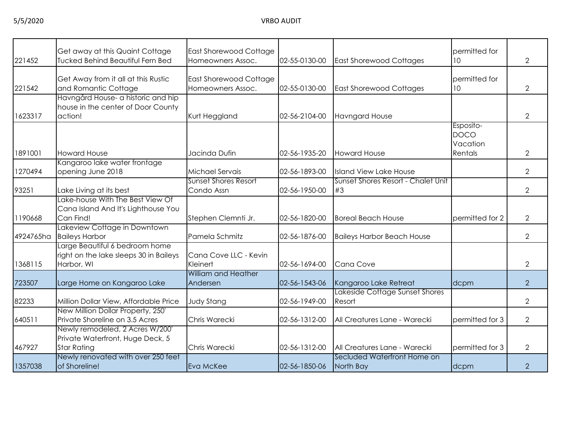| 221452    | Get away at this Quaint Cottage<br><b>Tucked Behind Beautiful Fern Bed</b>                | East Shorewood Cottage<br>Homeowners Assoc.        | 02-55-0130-00 | <b>East Shorewood Cottages</b>           | permitted for<br>10                             | $\mathbf{2}$   |
|-----------|-------------------------------------------------------------------------------------------|----------------------------------------------------|---------------|------------------------------------------|-------------------------------------------------|----------------|
| 221542    | Get Away from it all at this Rustic<br>and Romantic Cottage                               | <b>East Shorewood Cottage</b><br>Homeowners Assoc. | 02-55-0130-00 | <b>East Shorewood Cottages</b>           | permitted for<br>10                             | $\overline{2}$ |
| 1623317   | Havngård House- a historic and hip<br>house in the center of Door County<br>action!       | Kurt Heggland                                      | 02-56-2104-00 | <b>Havngard House</b>                    |                                                 | $\overline{2}$ |
| 1891001   | <b>Howard House</b>                                                                       | Jacinda Dufin                                      | 02-56-1935-20 | <b>Howard House</b>                      | Esposito-<br><b>DOCO</b><br>Vacation<br>Rentals | $\overline{2}$ |
| 1270494   | Kangaroo lake water frontage<br>opening June 2018                                         | Michael Servais                                    | 02-56-1893-00 | <b>Island View Lake House</b>            |                                                 | $\mathbf{2}$   |
| 93251     | Lake Living at its best                                                                   | Sunset Shores Resort<br>Condo Assn                 | 02-56-1950-00 | Sunset Shores Resort - Chalet Unit<br>#3 |                                                 | $\overline{2}$ |
| 1190668   | Lake-house With The Best View Of<br>Cana Island And It's Lighthouse You<br>Can Find!      | Stephen Clemnti Jr.                                | 02-56-1820-00 | <b>Boreal Beach House</b>                | permitted for 2                                 | $\overline{2}$ |
| 4924765ha | Lakeview Cottage in Downtown<br><b>Baileys Harbor</b>                                     | Pamela Schmitz                                     | 02-56-1876-00 | <b>Baileys Harbor Beach House</b>        |                                                 | $\overline{2}$ |
| 1368115   | Large Beautiful 6 bedroom home<br>right on the lake sleeps 30 in Baileys<br>Harbor, WI    | Cana Cove LLC - Kevin<br>Kleinert                  | 02-56-1694-00 | <b>Cana Cove</b>                         |                                                 | $\overline{2}$ |
| 723507    | Large Home on Kangaroo Lake                                                               | William and Heather<br>Andersen                    | 02-56-1543-06 | Kangaroo Lake Retreat                    | dcpm                                            | $\overline{2}$ |
| 82233     | Million Dollar View, Affordable Price                                                     | <b>Judy Stang</b>                                  | 02-56-1949-00 | Lakeside Cottage Sunset Shores<br>Resort |                                                 | $\overline{2}$ |
| 640511    | New Million Dollar Property, 250'<br>Private Shoreline on 3.5 Acres                       | Chris Warecki                                      | 02-56-1312-00 | All Creatures Lane - Warecki             | permitted for 3                                 | $\mathbf{2}$   |
| 467927    | Newly remodeled, 2 Acres W/200'<br>Private Waterfront, Huge Deck, 5<br><b>Star Rating</b> | Chris Warecki                                      | 02-56-1312-00 | All Creatures Lane - Warecki             | permitted for 3                                 | $\mathbf{2}$   |
| 1357038   | Newly renovated with over 250 feet<br>of Shoreline!                                       | Eva McKee                                          | 02-56-1850-06 | Secluded Waterfront Home on<br>North Bay | dcpm                                            | $\overline{2}$ |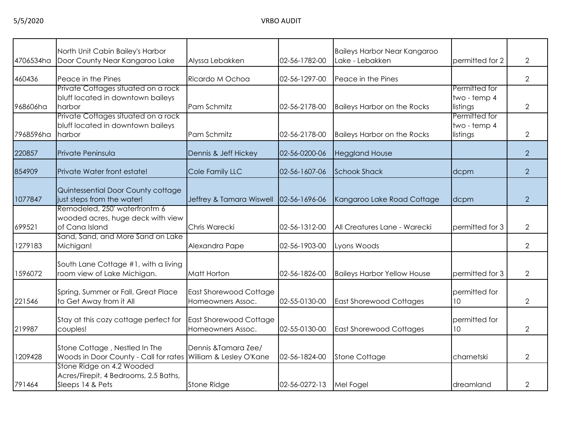| 4706534ha | North Unit Cabin Bailey's Harbor<br>Door County Near Kangaroo Lake                             | Alyssa Lebakken                                    | 02-56-1782-00 | <b>Baileys Harbor Near Kangaroo</b><br>Lake - Lebakken | permitted for 2                           | $\overline{2}$ |
|-----------|------------------------------------------------------------------------------------------------|----------------------------------------------------|---------------|--------------------------------------------------------|-------------------------------------------|----------------|
|           |                                                                                                |                                                    |               |                                                        |                                           |                |
| 460436    | Peace in the Pines                                                                             | Ricardo M Ochoa                                    | 02-56-1297-00 | Peace in the Pines                                     |                                           | $\overline{2}$ |
| 968606ha  | Private Cottages situated on a rock<br>bluff located in downtown baileys<br>harbor             | Pam Schmitz                                        | 02-56-2178-00 | <b>Baileys Harbor on the Rocks</b>                     | Permitted for<br>two - temp 4<br>listings | $\overline{2}$ |
| 7968596ha | Private Cottages situated on a rock<br>bluff located in downtown baileys<br>harbor             | Pam Schmitz                                        | 02-56-2178-00 | <b>Baileys Harbor on the Rocks</b>                     | Permitted for<br>two - temp 4<br>listings | $\overline{2}$ |
| 220857    | Private Peninsula                                                                              | Dennis & Jeff Hickey                               | 02-56-0200-06 | <b>Heggland House</b>                                  |                                           | $\overline{2}$ |
| 854909    | Private Water front estate!                                                                    | Cole Family LLC                                    | 02-56-1607-06 | <b>Schook Shack</b>                                    | dcpm                                      | $\overline{2}$ |
| 1077847   | Quintessential Door County cottage<br>just steps from the water!                               | Jeffrey & Tamara Wiswell                           | 02-56-1696-06 | Kangaroo Lake Road Cottage                             | dcpm                                      | $\overline{2}$ |
| 699521    | Remodeled, 250' waterfrontm 6<br>wooded acres, huge deck with view<br>of Cana Island           | Chris Warecki                                      | 02-56-1312-00 | All Creatures Lane - Warecki                           | permitted for 3                           | $\overline{2}$ |
| 1279183   | Sand, Sand, and More Sand on Lake<br>Michigan!                                                 | Alexandra Pape                                     | 02-56-1903-00 | Lyons Woods                                            |                                           | $\overline{2}$ |
| 1596072   | South Lane Cottage #1, with a living<br>room view of Lake Michigan.                            | Matt Horton                                        | 02-56-1826-00 | <b>Baileys Harbor Yellow House</b>                     | permitted for 3                           | $\overline{2}$ |
| 221546    | Spring, Summer or Fall, Great Place<br>to Get Away from it All                                 | East Shorewood Cottage<br>Homeowners Assoc.        | 02-55-0130-00 | <b>East Shorewood Cottages</b>                         | permitted for<br>10                       | $\overline{2}$ |
| 219987    | Stay at this cozy cottage perfect for<br>couples!                                              | <b>East Shorewood Cottage</b><br>Homeowners Assoc. | 02-55-0130-00 | <b>East Shorewood Cottages</b>                         | permitted for<br>10                       | $\overline{2}$ |
| 1209428   | Stone Cottage, Nestled In The<br>Woods in Door County - Call for rates William & Lesley O'Kane | Dennis & Tamara Zee/                               | 02-56-1824-00 | <b>Stone Cottage</b>                                   | charnetski                                | $\overline{2}$ |
| 791464    | Stone Ridge on 4.2 Wooded<br>Acres/Firepit, 4 Bedrooms, 2.5 Baths,<br>Sleeps 14 & Pets         | Stone Ridge                                        | 02-56-0272-13 | Mel Fogel                                              | dreamland                                 | 2              |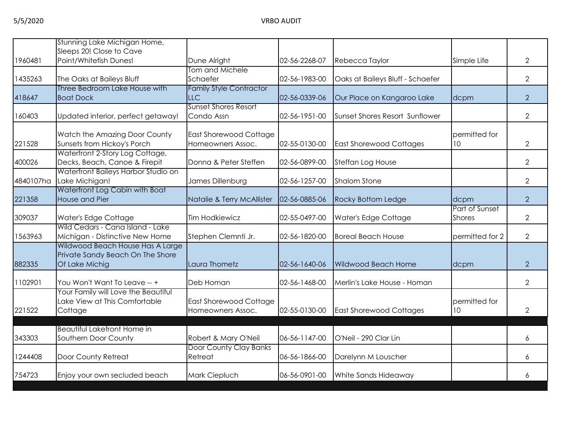|           | Stunning Lake Michigan Home,                                        |                                |               |                                  |                 |                |
|-----------|---------------------------------------------------------------------|--------------------------------|---------------|----------------------------------|-----------------|----------------|
|           | Sleeps 20! Close to Cave                                            |                                |               |                                  |                 |                |
| 1960481   | Point/Whitefish Dunes!                                              | Dune Alright                   | 02-56-2268-07 | Rebecca Taylor                   | Simple Life     | $\overline{2}$ |
| 1435263   |                                                                     | Tom and Michele<br>Schaefer    | 02-56-1983-00 |                                  |                 | $\overline{2}$ |
|           | The Oaks at Baileys Bluff<br>Three Bedroom Lake House with          | <b>Family Style Contractor</b> |               | Oaks at Baileys Bluff - Schaefer |                 |                |
| 418647    | <b>Boat Dock</b>                                                    | <b>LLC</b>                     | 02-56-0339-06 | Our Place on Kangaroo Lake       | dcpm            | $\overline{2}$ |
|           |                                                                     | <b>Sunset Shores Resort</b>    |               |                                  |                 |                |
| 160403    | Updated interior, perfect getaway!                                  | Condo Assn                     | 02-56-1951-00 | Sunset Shores Resort Sunflower   |                 | $\overline{2}$ |
|           |                                                                     |                                |               |                                  |                 |                |
|           | Watch the Amazing Door County                                       | East Shorewood Cottage         |               |                                  | permitted for   |                |
| 221528    | Sunsets from Hickoy's Porch                                         | Homeowners Assoc.              | 02-55-0130-00 | <b>East Shorewood Cottages</b>   | 10              | $\overline{2}$ |
|           | Waterfront 2-Story Log Cottage,                                     |                                |               |                                  |                 |                |
| 400026    | Decks, Beach, Canoe & Firepit                                       | Donna & Peter Steffen          | 02-56-0899-00 | Steffan Log House                |                 | $\overline{2}$ |
|           | Waterfront Baileys Harbor Studio on                                 |                                |               |                                  |                 |                |
| 4840107ha | Lake Michigan!                                                      | James Dillenburg               | 02-56-1257-00 | <b>Shalom Stone</b>              |                 | $\overline{2}$ |
|           | Waterfront Log Cabin with Boat                                      |                                |               |                                  |                 |                |
| 221358    | House and Pier                                                      | Natalie & Terry McAllister     | 02-56-0885-06 | Rocky Bottom Ledge               | dcpm            | 2              |
|           |                                                                     |                                |               |                                  | Part of Sunset  |                |
| 309037    | Water's Edge Cottage                                                | <b>Tim Hodkiewicz</b>          | 02-55-0497-00 | Water's Edge Cottage             | <b>Shores</b>   | $\overline{2}$ |
| 1563963   | Wild Cedars - Cana Island - Lake<br>Michigan - Distinctive New Home | Stephen Clemnti Jr.            | 02-56-1820-00 | <b>Boreal Beach House</b>        | permitted for 2 | $\overline{2}$ |
|           | Wildwood Beach House Has A Large                                    |                                |               |                                  |                 |                |
|           | Private Sandy Beach On The Shore                                    |                                |               |                                  |                 |                |
| 882335    | Of Lake Michig                                                      | Laura Thometz                  | 02-56-1640-06 | <b>Wildwood Beach Home</b>       | dcpm            | $\overline{2}$ |
|           |                                                                     |                                |               |                                  |                 |                |
| 1102901   | You Won't Want To Leave -- +                                        | Deb Homan                      | 02-56-1468-00 | Merlin's Lake House - Homan      |                 | $\overline{2}$ |
|           | Your Family will Love the Beautiful                                 |                                |               |                                  |                 |                |
|           | Lake View at This Comfortable                                       | East Shorewood Cottage         |               |                                  | permitted for   |                |
| 221522    | Cottage                                                             | Homeowners Assoc.              | 02-55-0130-00 | <b>East Shorewood Cottages</b>   | 10 <sup>°</sup> | $\overline{2}$ |
|           |                                                                     |                                |               |                                  |                 |                |
|           | <b>Beautiful Lakefront Home in</b>                                  |                                |               |                                  |                 |                |
| 343303    | Southern Door County                                                | Robert & Mary O'Neil           | 06-56-1147-00 | O'Neil - 290 Clar Lin            |                 | 6              |
|           |                                                                     | Door County Clay Banks         |               |                                  |                 |                |
| 1244408   | Door County Retreat                                                 | Retreat                        | 06-56-1866-00 | Darelynn M Louscher              |                 | 6              |
| 754723    | Enjoy your own secluded beach                                       | Mark Ciepluch                  | 06-56-0901-00 | White Sands Hideaway             |                 | 6              |
|           |                                                                     |                                |               |                                  |                 |                |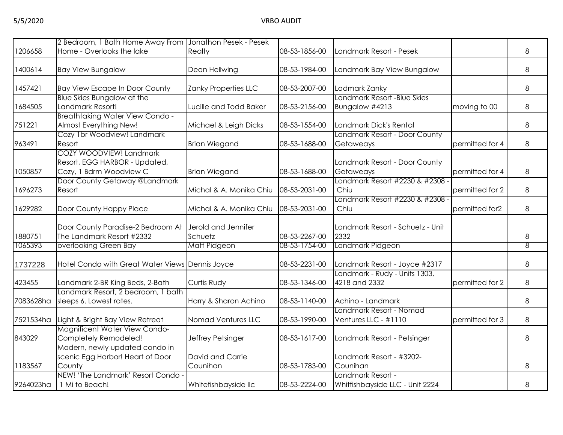|           | 2 Bedroom, 1 Bath Home Away From Jonathon Pesek - Pesek                             |                                |               |                                                      |                 |   |
|-----------|-------------------------------------------------------------------------------------|--------------------------------|---------------|------------------------------------------------------|-----------------|---|
| 1206658   | Home - Overlooks the lake                                                           | Realty                         | 08-53-1856-00 | Landmark Resort - Pesek                              |                 | 8 |
| 1400614   | <b>Bay View Bungalow</b>                                                            | Dean Hellwing                  | 08-53-1984-00 | Landmark Bay View Bungalow                           |                 | 8 |
| 1457421   | <b>Bay View Escape In Door County</b>                                               | Zanky Properties LLC           | 08-53-2007-00 | Ladmark Zanky                                        |                 | 8 |
| 1684505   | Blue Skies Bungalow at the<br>Landmark Resort!                                      | Lucille and Todd Baker         | 08-53-2156-00 | Landmark Resort -Blue Skies<br>Bungalow #4213        | moving to 00    | 8 |
| 751221    | <b>Breathtaking Water View Condo -</b><br>Almost Everything New!                    | Michael & Leigh Dicks          | 08-53-1554-00 | Landmark Dick's Rental                               |                 | 8 |
| 963491    | Cozy 1br Woodview! Landmark<br>Resort                                               | <b>Brian Wiegand</b>           | 08-53-1688-00 | Landmark Resort - Door County<br>Getaweays           | permitted for 4 | 8 |
| 1050857   | COZY WOODVIEW! Landmark<br>Resort, EGG HARBOR - Updated,<br>Cozy, 1 Bdrm Woodview C | <b>Brian Wiegand</b>           | 08-53-1688-00 | Landmark Resort - Door County<br>Getaweays           | permitted for 4 | 8 |
| 1696273   | Door County Getaway @Landmark<br>Resort                                             | Michal & A. Monika Chiu        | 08-53-2031-00 | Landmark Resort #2230 & #2308<br>Chiu                | permitted for 2 | 8 |
| 1629282   | Door County Happy Place                                                             | Michal & A. Monika Chiu        | 08-53-2031-00 | Landmark Resort #2230 & #2308<br>Chiu                | permitted for2  | 8 |
| 1880751   | Door County Paradise-2 Bedroom At<br>The Landmark Resort #2332                      | Jerold and Jennifer<br>Schuetz | 08-53-2267-00 | Landmark Resort - Schuetz - Unit<br>2332             |                 | 8 |
| 1065393   | overlooking Green Bay                                                               | Matt Pidgeon                   | 08-53-1754-00 | Landmark Pidgeon                                     |                 | 8 |
| 1737228   | Hotel Condo with Great Water Views Dennis Joyce                                     |                                | 08-53-2231-00 | Landmark Resort - Joyce #2317                        |                 | 8 |
| 423455    | Landmark 2-BR King Beds, 2-Bath                                                     | <b>Curtis Rudy</b>             | 08-53-1346-00 | Landmark - Rudy - Units 1303,<br>4218 and 2332       | permitted for 2 | 8 |
| 7083628ha | Landmark Resort, 2 bedroom, 1 bath<br>sleeps 6. Lowest rates.                       | Harry & Sharon Achino          | 08-53-1140-00 | Achino - Landmark                                    |                 | 8 |
| 7521534ha | Light & Bright Bay View Retreat                                                     | Nomad Ventures LLC             | 08-53-1990-00 | Landmark Resort - Nomad<br>Ventures LLC - #1110      | permitted for 3 | 8 |
| 843029    | Magnificent Water View Condo-<br>Completely Remodeled!                              | Jeffrey Petsinger              | 08-53-1617-00 | Landmark Resort - Petsinger                          |                 | 8 |
| 1183567   | Modern, newly updated condo in<br>scenic Egg Harbor! Heart of Door<br>County        | David and Carrie<br>Counihan   | 08-53-1783-00 | Landmark Resort - #3202-<br>Counihan                 |                 | 8 |
| 9264023ha | NEW! 'The Landmark' Resort Condo -<br>1 Mi to Beach!                                | Whitefishbayside IIc           | 08-53-2224-00 | Landmark Resort -<br>Whitfishbayside LLC - Unit 2224 |                 | 8 |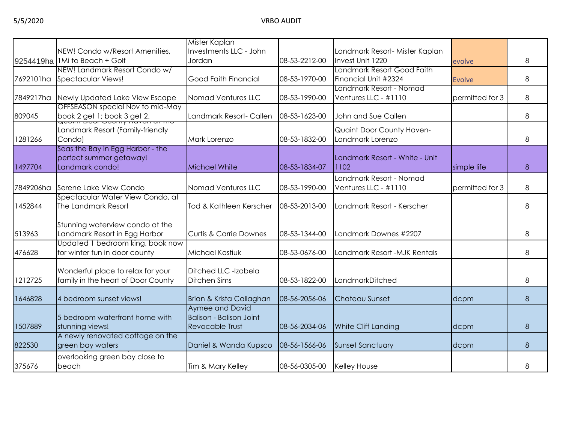|           |                                    | Mister Kaplan                     |                            |                                |                 |   |
|-----------|------------------------------------|-----------------------------------|----------------------------|--------------------------------|-----------------|---|
|           | NEW! Condo w/Resort Amenities,     | Investments LLC - John            |                            | Landmark Resort- Mister Kaplan |                 |   |
|           | 9254419ha   1Mi to Beach + Golf    | Jordan                            | 08-53-2212-00              | Invest Unit 1220               | evolve          | 8 |
|           | NEW! Landmark Resort Condo w/      |                                   |                            | Landmark Resort Good Faith     |                 |   |
|           | 7692101ha Spectacular Views!       | Good Faith Financial              | 08-53-1970-00              | Financial Unit #2324           | <b>Evolve</b>   | 8 |
|           |                                    |                                   |                            | Landmark Resort - Nomad        |                 |   |
| 7849217ha | Newly Updated Lake View Escape     | Nomad Ventures LLC                | 08-53-1990-00              | Ventures LLC - #1110           | permitted for 3 | 8 |
|           | OFFSEASON special Nov to mid-May   |                                   |                            |                                |                 |   |
| 809045    | book 2 get 1; book 3 get 2.        | Landmark Resort- Callen           | 08-53-1623-00              | John and Sue Callen            |                 | 8 |
|           | Landmark Resort (Family-friendly   |                                   |                            | Quaint Door County Haven-      |                 |   |
| 1281266   | Condo)                             | Mark Lorenzo                      | 08-53-1832-00              | Landmark Lorenzo               |                 | 8 |
|           | Seas the Bay in Egg Harbor - the   |                                   |                            |                                |                 |   |
|           | perfect summer getaway!            |                                   |                            | Landmark Resort - White - Unit |                 |   |
| 1497704   | Landmark condo!                    | Michael White                     | 08-53-1834-07              | 1102                           | simple life     | 8 |
|           |                                    |                                   |                            | Landmark Resort - Nomad        |                 |   |
| 7849206ha | Serene Lake View Condo             | Nomad Ventures LLC                | 08-53-1990-00              | Ventures LLC - #1110           | permitted for 3 | 8 |
|           | Spectacular Water View Condo, at   |                                   |                            |                                |                 |   |
| 1452844   | The Landmark Resort                | Tod & Kathleen Kerscher           | 08-53-2013-00              | Landmark Resort - Kerscher     |                 | 8 |
|           |                                    |                                   |                            |                                |                 |   |
|           | Stunning waterview condo at the    |                                   |                            |                                |                 |   |
| 513963    | Landmark Resort in Egg Harbor      | <b>Curtis &amp; Carrie Downes</b> | 08-53-1344-00              | Landmark Downes #2207          |                 | 8 |
|           | Updated 1 bedroom king, book now   |                                   |                            |                                |                 |   |
| 476628    | for winter fun in door county      | Michael Kostiuk                   | 08-53-0676-00              | Landmark Resort -MJK Rentals   |                 | 8 |
|           |                                    |                                   |                            |                                |                 |   |
|           | Wonderful place to relax for your  | Ditched LLC -Izabela              |                            |                                |                 |   |
| 1212725   | family in the heart of Door County | Ditchen Sims                      | 08-53-1822-00              | LandmarkDitched                |                 | 8 |
| 1646828   | 4 bedroom sunset views!            | Brian & Krista Callaghan          | 08-56-2056-06              | Chateau Sunset                 | dcpm            | 8 |
|           |                                    | Aymee and David                   |                            |                                |                 |   |
|           | 5 bedroom waterfront home with     | <b>Balison - Balison Joint</b>    |                            |                                |                 |   |
| 1507889   | stunning views!                    | <b>Revocable Trust</b>            | 08-56-2034-06              | <b>White Cliff Landing</b>     | dcpm            | 8 |
|           | A newly renovated cottage on the   |                                   |                            |                                |                 |   |
| 822530    | green bay waters                   | Daniel & Wanda Kupsco             | 08-56-1566-06              | <b>Sunset Sanctuary</b>        | dcpm            | 8 |
|           | overlooking green bay close to     |                                   |                            |                                |                 |   |
| 375676    | beach                              | Tim & Mary Kelley                 | 08-56-0305-00 Kelley House |                                |                 | 8 |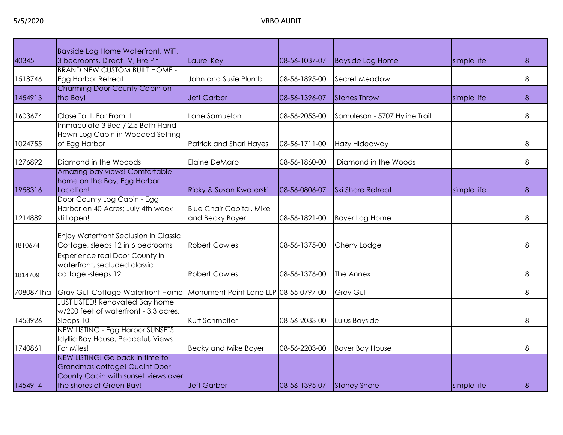|           | Bayside Log Home Waterfront, WiFi,                                                                                                  |                                                    |               |                               |             |   |
|-----------|-------------------------------------------------------------------------------------------------------------------------------------|----------------------------------------------------|---------------|-------------------------------|-------------|---|
| 403451    | 3 bedrooms, Direct TV, Fire Pit                                                                                                     | Laurel Key                                         | 08-56-1037-07 | <b>Bayside Log Home</b>       | simple life | 8 |
| 1518746   | <b>BRAND NEW CUSTOM BUILT HOME -</b><br>Egg Harbor Retreat                                                                          | John and Susie Plumb                               | 08-56-1895-00 | Secret Meadow                 |             | 8 |
| 1454913   | Charming Door County Cabin on<br>the Bay!                                                                                           | <b>Jeff Garber</b>                                 | 08-56-1396-07 | <b>Stones Throw</b>           | simple life | 8 |
| 1603674   | Close To It, Far From It                                                                                                            | Lane Samuelon                                      | 08-56-2053-00 | Samuleson - 5707 Hyline Trail |             | 8 |
| 1024755   | Immaculate 3 Bed / 2.5 Bath Hand-<br>Hewn Log Cabin in Wooded Setting<br>of Egg Harbor                                              | Patrick and Shari Hayes                            | 08-56-1711-00 | Hazy Hideaway                 |             | 8 |
| 1276892   | Diamond in the Wooods                                                                                                               | Elaine DeMarb                                      | 08-56-1860-00 | Diamond in the Woods          |             | 8 |
| 1958316   | Amazing bay views! Comfortable<br>home on the Bay. Egg Harbor<br>Location!                                                          | Ricky & Susan Kwaterski                            | 08-56-0806-07 | <b>Ski Shore Retreat</b>      | simple life | 8 |
| 1214889   | Door County Log Cabin - Egg<br>Harbor on 40 Acres; July 4th week<br>still open!                                                     | <b>Blue Chair Capital, Mike</b><br>and Becky Boyer | 08-56-1821-00 | <b>Boyer Log Home</b>         |             | 8 |
| 1810674   | Enjoy Waterfront Seclusion in Classic<br>Cottage, sleeps 12 in 6 bedrooms                                                           | <b>Robert Cowles</b>                               | 08-56-1375-00 | Cherry Lodge                  |             | 8 |
| 1814709   | Experience real Door County in<br>waterfront, secluded classic<br>cottage-sleeps 12!                                                | <b>Robert Cowles</b>                               | 08-56-1376-00 | The Annex                     |             | 8 |
| 7080871ha | Gray Gull Cottage-Waterfront Home                                                                                                   | Monument Point Lane LLP 08-55-0797-00              |               | <b>Grey Gull</b>              |             | 8 |
| 1453926   | <b>JUST LISTED! Renovated Bay home</b><br>w/200 feet of waterfront - 3.3 acres.<br>Sleeps 10!                                       | Kurt Schmelter                                     | 08-56-2033-00 | Lulus Bayside                 |             | 8 |
| 1740861   | NEW LISTING - Egg Harbor SUNSETS!<br>Idyllic Bay House, Peaceful, Views<br>For Miles!                                               | <b>Becky and Mike Boyer</b>                        | 08-56-2203-00 | <b>Boyer Bay House</b>        |             | 8 |
| 1454914   | NEW LISTING! Go back in time to<br>Grandmas cottage! Quaint Door<br>County Cabin with sunset views over<br>the shores of Green Bay! | Jeff Garber                                        | 08-56-1395-07 | Stoney Shore                  | simple life | 8 |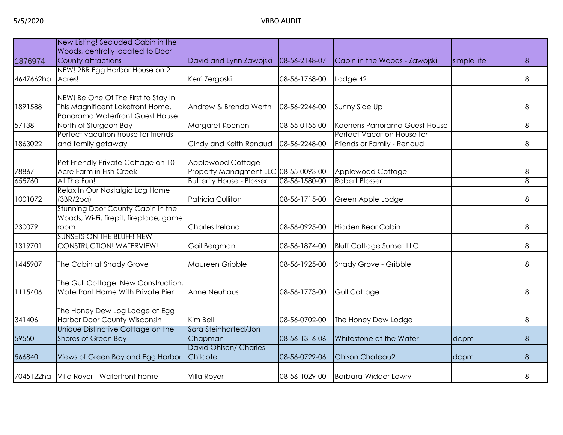|           | New Listing! Secluded Cabin in the                             |                                      |               |                                                            |             |   |
|-----------|----------------------------------------------------------------|--------------------------------------|---------------|------------------------------------------------------------|-------------|---|
|           | Woods, centrally located to Door                               |                                      |               |                                                            |             |   |
| 1876974   | County attractions                                             | David and Lynn Zawojski              | 08-56-2148-07 | Cabin in the Woods - Zawojski                              | simple life | 8 |
|           | NEW! 2BR Egg Harbor House on 2                                 |                                      |               |                                                            |             |   |
| 4647662ha | Acres!                                                         | Kerri Zergoski                       | 08-56-1768-00 | Lodge 42                                                   |             | 8 |
|           |                                                                |                                      |               |                                                            |             |   |
|           | NEW! Be One Of The First to Stay In                            |                                      |               |                                                            |             |   |
| 1891588   | This Magnificent Lakefront Home.                               | Andrew & Brenda Werth                | 08-56-2246-00 | Sunny Side Up                                              |             | 8 |
|           | Panorama Waterfront Guest House                                |                                      |               |                                                            |             | 8 |
| 57138     | North of Sturgeon Bay<br>Perfect vacation house for friends    | Margaret Koenen                      | 08-55-0155-00 | Koenens Panorama Guest House<br>Perfect Vacation House for |             |   |
| 1863022   | and family getaway                                             | Cindy and Keith Renaud               | 08-56-2248-00 | Friends or Family - Renaud                                 |             | 8 |
|           |                                                                |                                      |               |                                                            |             |   |
|           | Pet Friendly Private Cottage on 10                             | Applewood Cottage                    |               |                                                            |             |   |
| 78867     | Acre Farm in Fish Creek                                        | Property Managment LLC 08-55-0093-00 |               | Applewood Cottage                                          |             | 8 |
| 655760    | All The Fun!                                                   | <b>Butterfly House - Blosser</b>     | 08-56-1580-00 | <b>Robert Blosser</b>                                      |             | 8 |
|           | Relax In Our Nostalgic Log Home                                |                                      |               |                                                            |             |   |
| 1001072   | (3BR/2ba)                                                      | <b>Patricia Culliton</b>             | 08-56-1715-00 | Green Apple Lodge                                          |             | 8 |
|           | Stunning Door County Cabin in the                              |                                      |               |                                                            |             |   |
|           | Woods, Wi-Fi, firepit, fireplace, game                         |                                      |               |                                                            |             |   |
| 230079    | room                                                           | Charles Ireland                      | 08-56-0925-00 | Hidden Bear Cabin                                          |             | 8 |
|           | <b>SUNSETS ON THE BLUFF! NEW</b>                               |                                      |               |                                                            |             |   |
| 1319701   | CONSTRUCTION! WATERVIEW!                                       | Gail Bergman                         | 08-56-1874-00 | <b>Bluff Cottage Sunset LLC</b>                            |             | 8 |
|           |                                                                |                                      |               |                                                            |             |   |
| 1445907   | The Cabin at Shady Grove                                       | Maureen Gribble                      | 08-56-1925-00 | Shady Grove - Gribble                                      |             | 8 |
|           |                                                                |                                      |               |                                                            |             |   |
|           | The Gull Cottage: New Construction,                            |                                      |               |                                                            |             |   |
| 1115406   | Waterfront Home With Private Pier                              | Anne Neuhaus                         | 08-56-1773-00 | Gull Cottage                                               |             | 8 |
|           |                                                                |                                      |               |                                                            |             |   |
| 341406    | The Honey Dew Log Lodge at Egg<br>Harbor Door County Wisconsin | Kim Bell                             | 08-56-0702-00 | The Honey Dew Lodge                                        |             | 8 |
|           | Unique Distinctive Cottage on the                              | Sara Steinharted/Jon                 |               |                                                            |             |   |
| 595501    | Shores of Green Bay                                            | Chapman                              | 08-56-1316-06 | Whitestone at the Water                                    | dcpm        | 8 |
|           |                                                                | David Ohlson/ Charles                |               |                                                            |             |   |
| 566840    | Views of Green Bay and Egg Harbor                              | Chilcote                             | 08-56-0729-06 | <b>Ohlson Chateau2</b>                                     | dcpm        | 8 |
|           |                                                                |                                      |               |                                                            |             |   |
|           | 7045122ha Villa Royer - Waterfront home                        | Villa Royer                          | 08-56-1029-00 | <b>Barbara-Widder Lowry</b>                                |             | 8 |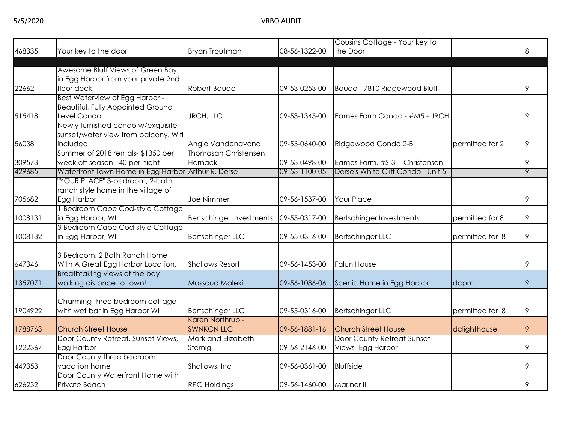5/5/2020 VRBO AUDIT

|         |                                                       |                                 |               | Cousins Cottage - Your key to      |                 |                |
|---------|-------------------------------------------------------|---------------------------------|---------------|------------------------------------|-----------------|----------------|
| 468335  | Your key to the door                                  | Bryan Troutman                  | 08-56-1322-00 | the Door                           |                 | 8              |
|         |                                                       |                                 |               |                                    |                 |                |
|         | Awesome Bluff Views of Green Bay                      |                                 |               |                                    |                 |                |
|         | in Egg Harbor from your private 2nd                   |                                 |               |                                    |                 |                |
| 22662   | floor deck                                            | Robert Baudo                    | 09-53-0253-00 | Baudo - 7810 Ridgewood Bluff       |                 | 9              |
|         | Best Waterview of Egg Harbor -                        |                                 |               |                                    |                 |                |
|         | <b>Beautiful, Fully Appointed Ground</b>              |                                 |               |                                    |                 |                |
| 515418  | Level Condo                                           | JRCH, LLC                       | 09-53-1345-00 | Eames Farm Condo - #M5 - JRCH      |                 | 9              |
|         | Newly furnished condo w/exquisite                     |                                 |               |                                    |                 |                |
|         | sunset/water view from balcony. Wifi                  |                                 |               |                                    |                 |                |
| 56038   | included.                                             | Angie Vandenavond               | 09-53-0640-00 | Ridgewood Condo 2-B                | permitted for 2 | 9              |
|         | Summer of 2018 rentals-\$1350 per                     | <b>Thomasan Christensen</b>     |               |                                    |                 |                |
| 309573  | week off season 140 per night                         | Harnack                         | 09-53-0498-00 | Eames Farm, #S-3 - Christensen     |                 | 9              |
| 429685  | Waterfront Town Home in Egg Harbor Arthur R. Derse    |                                 | 09-53-1100-05 | Derse's White Cliff Condo - Unit 5 |                 | $\overline{9}$ |
|         | "YOUR PLACE" 3-bedroom, 2-bath                        |                                 |               |                                    |                 |                |
|         | ranch style home in the village of                    |                                 |               |                                    |                 |                |
| 705682  | Egg Harbor                                            | Joe Nimmer                      | 09-56-1537-00 | <b>Your Place</b>                  |                 | 9              |
| 1008131 | 1 Bedroom Cape Cod-style Cottage<br>in Egg Harbor, WI |                                 | 09-55-0317-00 |                                    | permitted for 8 | 9              |
|         | 3 Bedroom Cape Cod-style Cottage                      | <b>Bertschinger Investments</b> |               | <b>Bertschinger Investments</b>    |                 |                |
| 1008132 | in Egg Harbor, WI                                     | <b>Bertschinger LLC</b>         | 09-55-0316-00 | <b>Bertschinger LLC</b>            | permitted for 8 | 9              |
|         |                                                       |                                 |               |                                    |                 |                |
|         | 3 Bedroom, 2 Bath Ranch Home                          |                                 |               |                                    |                 |                |
| 647346  | With A Great Egg Harbor Location.                     | <b>Shallows Resort</b>          | 09-56-1453-00 | <b>Falun House</b>                 |                 | 9              |
|         | Breathtaking views of the bay                         |                                 |               |                                    |                 |                |
| 1357071 | walking distance to town!                             | Massoud Maleki                  | 09-56-1086-06 | Scenic Home in Egg Harbor          | dcpm            | 9              |
|         |                                                       |                                 |               |                                    |                 |                |
|         | Charming three bedroom cottage                        |                                 |               |                                    |                 |                |
| 1904922 | with wet bar in Egg Harbor WI                         | <b>Bertschinger LLC</b>         | 09-55-0316-00 | <b>Bertschinger LLC</b>            | permitted for 8 | 9              |
|         |                                                       | Karen Northrup -                |               |                                    |                 |                |
| 1788763 | <b>Church Street House</b>                            | <b>SWNKCN LLC</b>               | 09-56-1881-16 | <b>Church Street House</b>         | dclighthouse    | 9              |
|         | Door County Retreat, Sunset Views,                    | Mark and Elizabeth              |               | Door County Retreat-Sunset         |                 |                |
| 1222367 | Egg Harbor                                            | Sternig                         | 09-56-2146-00 | Views-Egg Harbor                   |                 | 9              |
|         | Door County three bedroom                             |                                 |               |                                    |                 |                |
| 449353  | vacation home                                         | Shallows, Inc                   | 09-56-0361-00 | <b>Bluffside</b>                   |                 | 9              |
|         | Door County Waterfront Home with                      |                                 |               |                                    |                 |                |
| 626232  | Private Beach                                         | <b>RPO Holdings</b>             | 09-56-1460-00 | Mariner II                         |                 | 9              |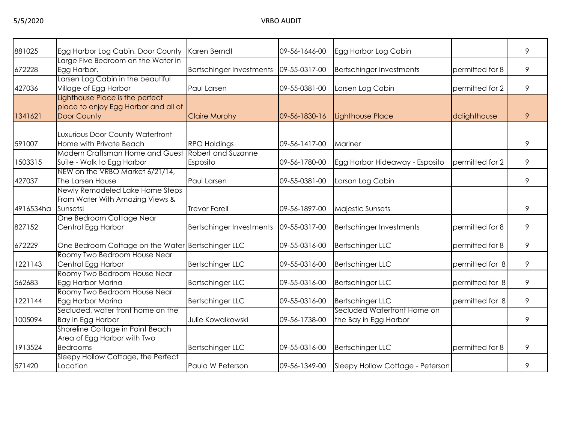| 881025    | Egg Harbor Log Cabin, Door County    | Karen Berndt                    | 09-56-1646-00 | Egg Harbor Log Cabin             |                 | 9 |
|-----------|--------------------------------------|---------------------------------|---------------|----------------------------------|-----------------|---|
|           | Large Five Bedroom on the Water in   |                                 |               |                                  |                 |   |
| 672228    | Egg Harbor.                          | <b>Bertschinger Investments</b> | 09-55-0317-00 | <b>Bertschinger Investments</b>  | permitted for 8 | 9 |
|           | Larsen Log Cabin in the beautiful    |                                 |               |                                  |                 |   |
| 427036    | Village of Egg Harbor                | Paul Larsen                     | 09-55-0381-00 | Larsen Log Cabin                 | permitted for 2 | 9 |
|           | Lighthouse Place is the perfect      |                                 |               |                                  |                 |   |
|           | place to enjoy Egg Harbor and all of |                                 |               |                                  |                 |   |
| 1341621   | Door County                          | <b>Claire Murphy</b>            | 09-56-1830-16 | <b>Lighthouse Place</b>          | dclighthouse    | 9 |
|           |                                      |                                 |               |                                  |                 |   |
|           | Luxurious Door County Waterfront     |                                 |               |                                  |                 |   |
| 591007    | Home with Private Beach              | <b>RPO Holdings</b>             | 09-56-1417-00 | Mariner                          |                 | 9 |
|           | Modern Craftsman Home and Guest      | Robert and Suzanne              |               |                                  |                 |   |
| 1503315   | Suite - Walk to Egg Harbor           | Esposito                        | 09-56-1780-00 | Egg Harbor Hideaway - Esposito   | permitted for 2 | 9 |
|           | NEW on the VRBO Market 6/21/14,      |                                 |               |                                  |                 |   |
| 427037    | The Larsen House                     | Paul Larsen                     | 09-55-0381-00 | Larson Log Cabin                 |                 | 9 |
|           | Newly Remodeled Lake Home Steps      |                                 |               |                                  |                 |   |
|           | From Water With Amazing Views &      |                                 |               |                                  |                 |   |
| 4916534ha | Sunsets!                             | <b>Trevor Farell</b>            | 09-56-1897-00 | <b>Majestic Sunsets</b>          |                 | 9 |
|           | One Bedroom Cottage Near             |                                 |               |                                  |                 |   |
| 827152    | Central Egg Harbor                   | Bertschinger Investments        | 09-55-0317-00 | <b>Bertschinger Investments</b>  | permitted for 8 | 9 |
| 672229    | One Bedroom Cottage on the Water     | <b>Bertschinger LLC</b>         | 09-55-0316-00 | <b>Bertschinger LLC</b>          | permitted for 8 | 9 |
|           | Roomy Two Bedroom House Near         |                                 |               |                                  |                 |   |
| 1221143   | Central Egg Harbor                   | Bertschinger LLC                | 09-55-0316-00 | <b>Bertschinger LLC</b>          | permitted for 8 | 9 |
|           | Roomy Two Bedroom House Near         |                                 |               |                                  |                 |   |
| 562683    | Egg Harbor Marina                    | <b>Bertschinger LLC</b>         | 09-55-0316-00 | <b>Bertschinger LLC</b>          | permitted for 8 | 9 |
|           | Roomy Two Bedroom House Near         |                                 |               |                                  |                 |   |
| 1221144   | Egg Harbor Marina                    | <b>Bertschinger LLC</b>         | 09-55-0316-00 | <b>Bertschinger LLC</b>          | permitted for 8 | 9 |
|           | Secluded, water front home on the    |                                 |               | Secluded Waterfront Home on      |                 |   |
| 1005094   | Bay in Egg Harbor                    | Julie Kowalkowski               | 09-56-1738-00 | the Bay in Egg Harbor            |                 | 9 |
|           | Shoreline Cottage in Point Beach     |                                 |               |                                  |                 |   |
|           | Area of Egg Harbor with Two          |                                 |               |                                  |                 |   |
| 1913524   | <b>Bedrooms</b>                      | <b>Bertschinger LLC</b>         | 09-55-0316-00 | <b>Bertschinger LLC</b>          | permitted for 8 | 9 |
|           | Sleepy Hollow Cottage, the Perfect   |                                 |               |                                  |                 |   |
| 571420    | Location                             | Paula W Peterson                | 09-56-1349-00 | Sleepy Hollow Cottage - Peterson |                 | 9 |
|           |                                      |                                 |               |                                  |                 |   |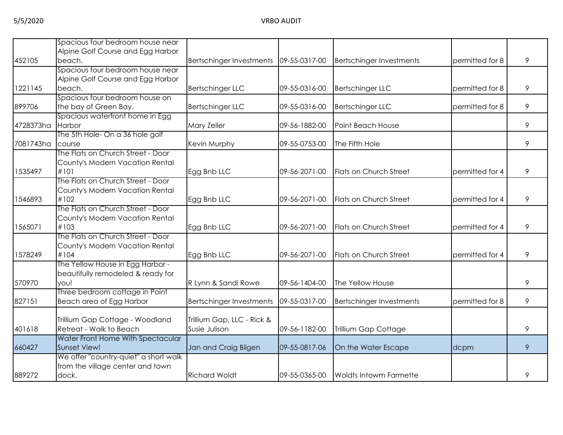|           | Spacious four bedroom house near      |                                          |               |                                 |                 |   |
|-----------|---------------------------------------|------------------------------------------|---------------|---------------------------------|-----------------|---|
|           | Alpine Golf Course and Egg Harbor     |                                          |               |                                 |                 |   |
| 452105    | beach.                                | Bertschinger Investments   09-55-0317-00 |               | <b>Bertschinger Investments</b> | permitted for 8 | 9 |
|           | Spacious four bedroom house near      |                                          |               |                                 |                 |   |
|           | Alpine Golf Course and Egg Harbor     |                                          |               |                                 |                 |   |
| 1221145   | beach.                                | Bertschinger LLC                         | 09-55-0316-00 | <b>Bertschinger LLC</b>         | permitted for 8 | 9 |
|           | Spacious four bedroom house on        |                                          |               |                                 |                 |   |
| 899706    | the bay of Green Bay.                 | <b>Bertschinger LLC</b>                  | 09-55-0316-00 | <b>Bertschinger LLC</b>         | permitted for 8 | 9 |
|           | Spacious waterfront home in Egg       |                                          |               |                                 |                 |   |
| 4728373ha | Harbor                                | Mary Zeller                              | 09-56-1882-00 | Point Beach House               |                 | 9 |
|           | The 5th Hole- On a 36 hole golf       |                                          |               |                                 |                 |   |
| 7081743ha | course                                | Kevin Murphy                             | 09-55-0753-00 | The Fifth Hole                  |                 | 9 |
|           | The Flats on Church Street - Door     |                                          |               |                                 |                 |   |
|           | County's Modern Vacation Rental       |                                          |               |                                 |                 |   |
| 1535497   | #101                                  | Egg Bnb LLC                              | 09-56-2071-00 | Flats on Church Street          | permitted for 4 | 9 |
|           | The Flats on Church Street - Door     |                                          |               |                                 |                 |   |
|           | County's Modern Vacation Rental       |                                          |               |                                 |                 |   |
| 1546893   | #102                                  | Egg Bnb LLC                              | 09-56-2071-00 | Flats on Church Street          | permitted for 4 | 9 |
|           | The Flats on Church Street - Door     |                                          |               |                                 |                 |   |
|           | County's Modern Vacation Rental       |                                          |               |                                 |                 |   |
| 1565071   | #103                                  | Egg Bnb LLC                              | 09-56-2071-00 | Flats on Church Street          | permitted for 4 | 9 |
|           | The Flats on Church Street - Door     |                                          |               |                                 |                 |   |
|           | County's Modern Vacation Rental       |                                          |               |                                 |                 |   |
| 1578249   | #104                                  | Egg Bnb LLC                              | 09-56-2071-00 | Flats on Church Street          | permitted for 4 | 9 |
|           | The Yellow House in Egg Harbor -      |                                          |               |                                 |                 |   |
|           | beautifully remodeled & ready for     |                                          |               |                                 |                 |   |
| 570970    | you!                                  | R Lynn & Sandi Rowe                      | 09-56-1404-00 | The Yellow House                |                 | 9 |
|           | Three bedroom cottage in Point        |                                          |               |                                 |                 |   |
| 827151    | Beach area of Egg Harbor              | Bertschinger Investments                 | 09-55-0317-00 | Bertschinger Investments        | permitted for 8 | 9 |
|           |                                       |                                          |               |                                 |                 |   |
|           | Trillium Gap Cottage - Woodland       | Trillium Gap, LLC - Rick &               |               |                                 |                 |   |
| 401618    | Retreat - Walk to Beach               | Susie Julison                            | 09-56-1182-00 | Trillium Gap Cottage            |                 | 9 |
|           | Water Front Home With Spectacular     |                                          |               |                                 |                 |   |
| 660427    | Sunset View!                          | Jan and Craig Bilgen                     | 09-55-0817-06 | On the Water Escape             | dcpm            | 9 |
|           | We offer "country-quiet" a short walk |                                          |               |                                 |                 |   |
|           | from the village center and town      |                                          |               |                                 |                 |   |
| 889272    | dock.                                 | <b>Richard Woldt</b>                     | 09-55-0365-00 | <b>Woldts Intowm Farmette</b>   |                 | 9 |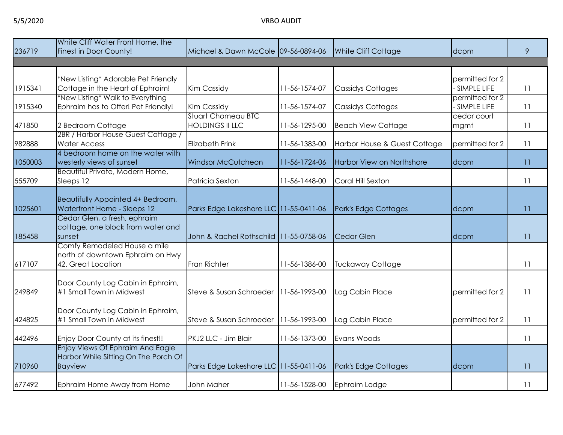|         | White Cliff Water Front Home, the                                                                |                                                     |               |                              |                                |    |
|---------|--------------------------------------------------------------------------------------------------|-----------------------------------------------------|---------------|------------------------------|--------------------------------|----|
| 236719  | Finest in Door County!                                                                           | Michael & Dawn McCole 09-56-0894-06                 |               | <b>White Cliff Cottage</b>   | dcpm                           | 9  |
|         |                                                                                                  |                                                     |               |                              |                                |    |
| 1915341 | *New Listing* Adorable Pet Friendly<br>Cottage in the Heart of Ephraim!                          | Kim Cassidy                                         | 11-56-1574-07 | <b>Cassidys Cottages</b>     | permitted for 2<br>SIMPLE LIFE | 11 |
| 1915340 | *New Listing* Walk to Everything<br>Ephraim has to Offer! Pet Friendly!                          | Kim Cassidy                                         | 11-56-1574-07 | <b>Cassidys Cottages</b>     | permitted for 2<br>SIMPLE LIFE | 11 |
| 471850  | 2 Bedroom Cottage                                                                                | <b>Stuart Chomeau BTC</b><br><b>HOLDINGS II LLC</b> | 11-56-1295-00 | <b>Beach View Cottage</b>    | cedar court<br>mgmt            | 11 |
| 982888  | 2BR / Harbor House Guest Cottage /<br><b>Water Access</b>                                        | <b>Elizabeth Frink</b>                              | 11-56-1383-00 | Harbor House & Guest Cottage | permitted for 2                | 11 |
| 1050003 | 4 bedroom home on the water with<br>westerly views of sunset                                     | <b>Windsor McCutcheon</b>                           | 11-56-1724-06 | Harbor View on Northshore    | dcpm                           | 11 |
| 555709  | Beautiful Private, Modern Home,<br>Sleeps 12                                                     | Patricia Sexton                                     | 11-56-1448-00 | Coral Hill Sexton            |                                | 11 |
| 1025601 | Beautifully Appointed 4+ Bedroom,<br>Waterfront Home - Sleeps 12<br>Cedar Glen, a fresh, ephraim | Parks Edge Lakeshore LLC 11-55-0411-06              |               | Park's Edge Cottages         | dcpm                           | 11 |
| 185458  | cottage, one block from water and<br>sunset                                                      | John & Rachel Rothschild 11-55-0758-06              |               | Cedar Glen                   | dcpm                           | 11 |
| 617107  | Comfy Remodeled House a mile<br>north of downtown Ephraim on Hwy<br>42. Great Location           | Fran Richter                                        | 11-56-1386-00 | <b>Tuckaway Cottage</b>      |                                | 11 |
| 249849  | Door County Log Cabin in Ephraim,<br>#1 Small Town in Midwest                                    | Steve & Susan Schroeder                             | 11-56-1993-00 | Log Cabin Place              | permitted for 2                | 11 |
| 424825  | Door County Log Cabin in Ephraim,<br>#1 Small Town in Midwest                                    | Steve & Susan Schroeder                             | 11-56-1993-00 | Log Cabin Place              | permitted for 2                | 11 |
| 442496  | Enjoy Door County at its finest!!                                                                | PKJ2 LLC - Jim Blair                                | 11-56-1373-00 | Evans Woods                  |                                | 11 |
| 710960  | Enjoy Views Of Ephraim And Eagle<br>Harbor While Sitting On The Porch Of<br><b>Bayview</b>       | Parks Edge Lakeshore LLC 11-55-0411-06              |               | Park's Edge Cottages         | dcpm                           | 11 |
| 677492  | Ephraim Home Away from Home                                                                      | John Maher                                          | 11-56-1528-00 | Ephraim Lodge                |                                | 11 |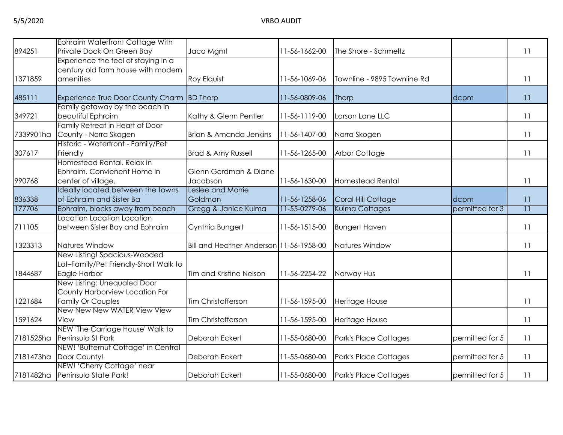| 894251    | <b>Ephraim Waterfront Cottage With</b><br>Private Dock On Green Bay                       | Jaco Mgmt                               | 11-56-1662-00 | The Shore - Schmeltz        |                 | 11              |
|-----------|-------------------------------------------------------------------------------------------|-----------------------------------------|---------------|-----------------------------|-----------------|-----------------|
| 1371859   | Experience the feel of staying in a<br>century old farm house with modern<br>amenities    | Roy Elquist                             | 11-56-1069-06 | Townline - 9895 Townline Rd |                 | 11              |
|           |                                                                                           |                                         |               |                             |                 |                 |
| 485111    | Experience True Door County Charm BD Thorp                                                |                                         | 11-56-0809-06 | Thorp                       | dcpm            | 11              |
| 349721    | Family getaway by the beach in<br>beautiful Ephraim                                       | Kathy & Glenn Pentler                   | 11-56-1119-00 | Larson Lane LLC             |                 | 11              |
| 7339901ha | Family Retreat in Heart of Door<br>County - Norra Skogen                                  | Brian & Amanda Jenkins                  | 11-56-1407-00 | Norra Skogen                |                 | 11              |
| 307617    | Historic - Waterfront - Family/Pet<br>Friendly                                            | Brad & Amy Russell                      | 11-56-1265-00 | <b>Arbor Cottage</b>        |                 | 11              |
| 990768    | Homestead Rental, Relax in<br>Ephraim. Convienent Home in<br>center of village.           | Glenn Gerdman & Diane<br>Jacobson       | 11-56-1630-00 | <b>Homestead Rental</b>     |                 | 11              |
| 836338    | Ideally located between the towns<br>of Ephraim and Sister Ba                             | Leslee and Morrie<br>Goldman            | 11-56-1258-06 | Coral Hill Cottage          | dcpm            | 11              |
| 177706    | Ephraim, blocks away from beach                                                           | Gregg & Janice Kulma                    | 11-55-0279-06 | Kulma Cottages              | permitted for 3 | $\overline{11}$ |
| 711105    | Location Location Location<br>between Sister Bay and Ephraim                              | Cynthia Bungert                         | 11-56-1515-00 | <b>Bungert Haven</b>        |                 | 11              |
| 1323313   | Natures Window                                                                            | Bill and Heather Anderson 11-56-1958-00 |               | Natures Window              |                 | 11              |
| 1844687   | New Listing! Spacious-Wooded<br>Lot-Family/Pet Friendly-Short Walk to<br>Eagle Harbor     | Tim and Kristine Nelson                 | 11-56-2254-22 | Norway Hus                  |                 | 11              |
| 1221684   | New Listing: Unequaled Door<br>County Harborview Location For<br><b>Family Or Couples</b> | Tim Christofferson                      | 11-56-1595-00 | Heritage House              |                 | 11              |
| 1591624   | New New New WATER View View<br>View                                                       | Tim Christofferson                      | 11-56-1595-00 | Heritage House              |                 | 11              |
|           | NEW 'The Carriage House' Walk to<br>7181525ha Peninsula St Park                           | Deborah Eckert                          | 11-55-0680-00 | Park's Place Cottages       | permitted for 5 | 11              |
|           | NEW! 'Butternut Cottage' in Central<br>7181473ha Door County!                             | Deborah Eckert                          | 11-55-0680-00 | Park's Place Cottages       | permitted for 5 | 11              |
|           | NEW! 'Cherry Cottage' near<br>7181482ha Peninsula State Park!                             | Deborah Eckert                          | 11-55-0680-00 | Park's Place Cottages       | permitted for 5 | 11              |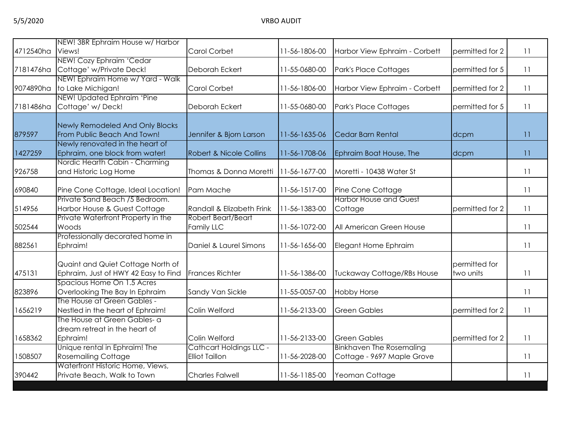|           | NEW! 3BR Ephraim House w/ Harbor                                   |                                    |               |                                 |                 |    |
|-----------|--------------------------------------------------------------------|------------------------------------|---------------|---------------------------------|-----------------|----|
| 4712540ha | Views!                                                             | Carol Corbet                       | 11-56-1806-00 | Harbor View Ephraim - Corbett   | permitted for 2 | 11 |
|           | NEW! Cozy Ephraim 'Cedar                                           |                                    |               |                                 |                 |    |
| 7181476ha | Cottage' w/Private Deck!                                           | Deborah Eckert                     | 11-55-0680-00 | Park's Place Cottages           | permitted for 5 | 11 |
|           | NEW! Ephraim Home w/ Yard - Walk                                   |                                    |               |                                 |                 |    |
| 9074890ha | to Lake Michigan!                                                  | Carol Corbet                       | 11-56-1806-00 | Harbor View Ephraim - Corbett   | permitted for 2 | 11 |
|           | NEW! Updated Ephraim 'Pine                                         |                                    |               |                                 |                 |    |
| 7181486ha | Cottage' w/Deck!                                                   | Deborah Eckert                     | 11-55-0680-00 | Park's Place Cottages           | permitted for 5 | 11 |
|           |                                                                    |                                    |               |                                 |                 |    |
| 879597    | Newly Remodeled And Only Blocks<br>From Public Beach And Town!     | Jennifer & Bjorn Larson            | 11-56-1635-06 | Cedar Barn Rental               | dcpm            | 11 |
|           | Newly renovated in the heart of                                    |                                    |               |                                 |                 |    |
| 1427259   | Ephraim, one block from water!                                     | <b>Robert &amp; Nicole Collins</b> | 11-56-1708-06 | Ephraim Boat House, The         | dcpm            | 11 |
|           | Nordic Hearth Cabin - Charming                                     |                                    |               |                                 |                 |    |
| 926758    | and Historic Log Home                                              | Thomas & Donna Moretti             | 11-56-1677-00 | Moretti - 10438 Water St        |                 | 11 |
|           |                                                                    |                                    |               |                                 |                 |    |
| 690840    | Pine Cone Cottage, Ideal Location!                                 | Pam Mache                          | 11-56-1517-00 | Pine Cone Cottage               |                 | 11 |
|           | Private Sand Beach /5 Bedroom.                                     |                                    |               | <b>Harbor House and Guest</b>   |                 |    |
| 514956    | Harbor House & Guest Cottage                                       | Randall & Elizabeth Frink          | 11-56-1383-00 | Cottage                         | permitted for 2 | 11 |
|           | Private Waterfront Property in the                                 | Robert Beart/Beart                 |               |                                 |                 |    |
| 502544    | Woods                                                              | Family LLC                         | 11-56-1072-00 | All American Green House        |                 | 11 |
|           | Professionally decorated home in                                   |                                    |               |                                 |                 |    |
| 882561    | Ephraim!                                                           | Daniel & Laurel Simons             | 11-56-1656-00 | Elegant Home Ephraim            |                 | 11 |
|           |                                                                    |                                    |               |                                 |                 |    |
|           | Quaint and Quiet Cottage North of                                  |                                    |               |                                 | permitted for   |    |
| 475131    | Ephraim, Just of HWY 42 Easy to Find<br>Spacious Home On 1.5 Acres | <b>Frances Richter</b>             | 11-56-1386-00 | Tuckaway Cottage/RBs House      | two units       | 11 |
| 823896    | Overlooking The Bay In Ephraim                                     | Sandy Van Sickle                   | 11-55-0057-00 | <b>Hobby Horse</b>              |                 | 11 |
|           | The House at Green Gables -                                        |                                    |               |                                 |                 |    |
| 1656219   | Nestled in the heart of Ephraim!                                   | Colin Welford                      | 11-56-2133-00 | <b>Green Gables</b>             | permitted for 2 | 11 |
|           | The House at Green Gables- a                                       |                                    |               |                                 |                 |    |
|           | dream retreat in the heart of                                      |                                    |               |                                 |                 |    |
| 1658362   | Ephraim!                                                           | Colin Welford                      | 11-56-2133-00 | <b>Green Gables</b>             | permitted for 2 | 11 |
|           | Unique rental in Ephraim! The                                      | <b>Cathcart Holdings LLC -</b>     |               | <b>Binkhaven The Rosemaling</b> |                 |    |
| 1508507   | <b>Rosemailing Cottage</b>                                         | <b>Elliot Taillon</b>              | 11-56-2028-00 | Cottage - 9697 Maple Grove      |                 | 11 |
|           | Waterfront Historic Home, Views,                                   |                                    |               |                                 |                 |    |
| 390442    | Private Beach, Walk to Town                                        | <b>Charles Falwell</b>             | 11-56-1185-00 | Yeoman Cottage                  |                 | 11 |
|           |                                                                    |                                    |               |                                 |                 |    |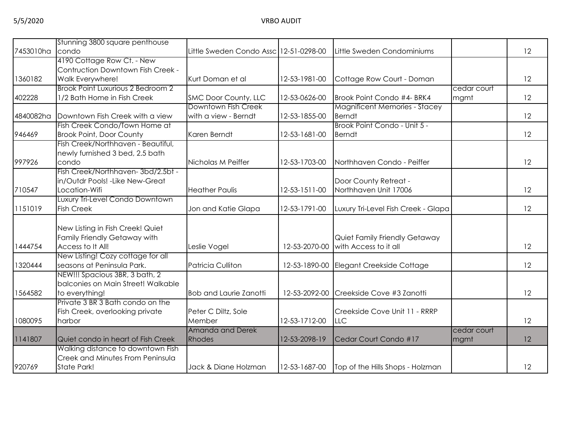|           | Stunning 3800 square penthouse           |                                        |               |                                      |             |    |
|-----------|------------------------------------------|----------------------------------------|---------------|--------------------------------------|-------------|----|
| 7453010ha | condo                                    | Little Sweden Condo Assc 12-51-0298-00 |               | Little Sweden Condominiums           |             | 12 |
|           | 4190 Cottage Row Ct. - New               |                                        |               |                                      |             |    |
|           | Contruction Downtown Fish Creek -        |                                        |               |                                      |             |    |
| 1360182   | Walk Everywhere!                         | Kurt Doman et al                       | 12-53-1981-00 | Cottage Row Court - Doman            |             | 12 |
|           | <b>Brook Point Luxurious 2 Bedroom 2</b> |                                        |               |                                      | cedar court |    |
| 402228    | 1/2 Bath Home in Fish Creek              | SMC Door County, LLC                   | 12-53-0626-00 | Brook Point Condo #4- BRK4           | mgmt        | 12 |
|           |                                          | Downtown Fish Creek                    |               | <b>Magnificent Memories - Stacey</b> |             |    |
| 4840082ha | Downtown Fish Creek with a view          | with a view - Berndt                   | 12-53-1855-00 | <b>Berndt</b>                        |             | 12 |
|           | Fish Creek Condo/Town Home at            |                                        |               | Brook Point Condo - Unit 5 -         |             |    |
| 946469    | <b>Brook Point, Door County</b>          | Karen Berndt                           | 12-53-1681-00 | <b>Berndt</b>                        |             | 12 |
|           | Fish Creek/Northhaven - Beautiful,       |                                        |               |                                      |             |    |
|           | newly furnished 3 bed, 2.5 bath          |                                        |               |                                      |             |    |
| 997926    | condo                                    | Nicholas M Peiffer                     | 12-53-1703-00 | Northhaven Condo - Peiffer           |             | 12 |
|           | Fish Creek/Northhaven-3bd/2.5bt -        |                                        |               |                                      |             |    |
|           | in/Outdr Pools! - Like New-Great         |                                        |               | Door County Retreat -                |             |    |
| 710547    | Location-Wifi                            | <b>Heather Paulis</b>                  | 12-53-1511-00 | Northhaven Unit 17006                |             | 12 |
|           | Luxury Tri-Level Condo Downtown          |                                        |               |                                      |             |    |
| 1151019   | <b>Fish Creek</b>                        | Jon and Katie Glapa                    | 12-53-1791-00 | Luxury Tri-Level Fish Creek - Glapa  |             | 12 |
|           | New Listing in Fish Creek! Quiet         |                                        |               |                                      |             |    |
|           | Family Friendly Getaway with             |                                        |               | Quiet Family Friendly Getaway        |             |    |
| 1444754   | Access to It All!                        | Leslie Vogel                           | 12-53-2070-00 | with Access to it all                |             | 12 |
|           | New Listing! Cozy cottage for all        |                                        |               |                                      |             |    |
| 1320444   | seasons at Peninsula Park.               | <b>Patricia Culliton</b>               | 12-53-1890-00 | Elegant Creekside Cottage            |             | 12 |
|           | NEW!!! Spacious 3BR, 3 bath, 2           |                                        |               |                                      |             |    |
|           | balconies on Main Street! Walkable       |                                        |               |                                      |             |    |
| 1564582   | to everything!                           | <b>Bob and Laurie Zanotti</b>          | 12-53-2092-00 | Creekside Cove #3 Zanotti            |             | 12 |
|           | Private 3 BR 3 Bath condo on the         |                                        |               |                                      |             |    |
|           | Fish Creek, overlooking private          | Peter C Diltz, Sole                    |               | Creekside Cove Unit 11 - RRRP        |             |    |
| 1080095   | harbor                                   | Member                                 | 12-53-1712-00 | <b>LLC</b>                           |             | 12 |
|           |                                          | Amanda and Derek                       |               |                                      | cedar court |    |
| 1141807   | Quiet condo in heart of Fish Creek       | Rhodes                                 | 12-53-2098-19 | Cedar Court Condo #17                | mgmt        | 12 |
|           | Walking distance to downtown Fish        |                                        |               |                                      |             |    |
|           | Creek and Minutes From Peninsula         |                                        |               |                                      |             |    |
| 920769    | State Park!                              | Jack & Diane Holzman                   | 12-53-1687-00 | Top of the Hills Shops - Holzman     |             | 12 |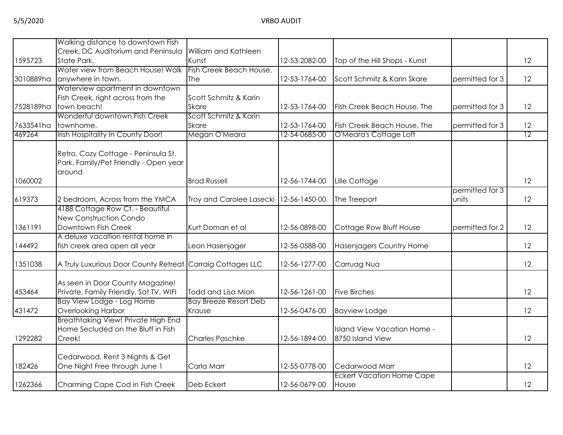|           | Walking distance to downtown Fish                                            |                               |               |                                  |                 |                 |
|-----------|------------------------------------------------------------------------------|-------------------------------|---------------|----------------------------------|-----------------|-----------------|
| 1595723   | Creek, DC Auditorium and Peninsula<br>State Park.                            | William and Kathleen<br>Kunst | 12-53-2082-00 | Top of the Hill Shops - Kunst    |                 | 12              |
|           | Water view from Beach House! Walk                                            | Fish Creek Beach House,       |               |                                  |                 |                 |
| 3010889ha | anywhere in town.                                                            | The                           | 12-53-1764-00 | Scott Schmitz & Karin Skare      | permitted for 3 | 12              |
|           | Waterview apartment in downtown                                              |                               |               |                                  |                 |                 |
|           | Fish Creek, right across from the                                            | Scott Schmitz & Karin         |               |                                  |                 |                 |
| 7528189ha | town beach!                                                                  | <b>Skare</b>                  | 12-53-1764-00 | Fish Creek Beach House, The      | permitted for 3 | 12              |
|           | Wonderful downtown Fish Creek                                                | Scott Schmitz & Karin         |               |                                  |                 |                 |
| 7633541ha | townhome.                                                                    | <b>Skare</b>                  | 12-53-1764-00 | Fish Creek Beach House, The      | permitted for 3 | 12              |
| 469264    | Irish Hospitality In County Door!                                            | Megan O'Meara                 | 12-54-0685-00 | O'Meara's Cottage Loft           |                 | $\overline{12}$ |
|           |                                                                              |                               |               |                                  |                 |                 |
|           | Retro, Cozy Cottage - Peninsula St.<br>Park, Family/Pet Friendly - Open year |                               |               |                                  |                 |                 |
|           | around                                                                       |                               |               |                                  |                 |                 |
| 1060002   |                                                                              | <b>Brad Russell</b>           | 12-56-1744-00 | Lille Cottage                    |                 | 12              |
|           |                                                                              |                               |               |                                  | permitted for 3 |                 |
| 619373    | 2 bedroom, Across from the YMCA                                              | Troy and Carolee Lasecki      | 12-56-1450-00 | The Treeport                     | units           | 12              |
|           | 4188 Cottage Row Ct. - Beautiful                                             |                               |               |                                  |                 |                 |
|           | New Construction Condo                                                       |                               |               |                                  |                 |                 |
| 1361191   | Downtown Fish Creek                                                          | Kurt Doman et al              | 12-56-0898-00 | Cottage Row Bluff House          | permitted for 2 | 12              |
|           | A deluxe vacation rental home in                                             |                               |               |                                  |                 |                 |
| 144492    | fish creek area open all year                                                | Leon Hasenjager               | 12-56-0588-00 | Hasenjagers Country Home         |                 | 12              |
| 1351038   | A Truly Luxurious Door County Retreat Carraig Cottages LLC                   |                               | 12-56-1277-00 | Carruag Nua                      |                 | 12              |
|           |                                                                              |                               |               |                                  |                 |                 |
| 453464    | As seen in Door County Magazine!<br>Private, Family Friendly, Sat TV, WIFI   | Todd and Lisa Mion            | 12-56-1261-00 | <b>Five Birches</b>              |                 | 12              |
|           | Bay View Lodge - Log Home                                                    | <b>Bay Breeze Resort Deb</b>  |               |                                  |                 |                 |
| 431472    | <b>Overlooking Harbor</b>                                                    | Krause                        | 12-56-0476-00 | <b>Bayview Lodge</b>             |                 | 12              |
|           | <b>Breathtaking View! Private High End</b>                                   |                               |               |                                  |                 |                 |
|           | Home Secluded on the Bluff in Fish                                           |                               |               | Island View Vacation Home -      |                 |                 |
| 1292282   | Creek!                                                                       | <b>Charles Paschke</b>        | 12-56-1894-00 | 8750 Island View                 |                 | 12              |
|           | Cedarwood, Rent 3 Nights & Get                                               |                               |               |                                  |                 |                 |
| 182426    | One Night Free through June 1                                                | Carla Marr                    | 12-55-0778-00 | Cedarwood Marr                   |                 | 12              |
|           |                                                                              |                               |               | <b>Eckert Vacation Home Cape</b> |                 |                 |
| 1262366   | Charming Cape Cod in Fish Creek                                              | Deb Eckert                    | 12-56-0679-00 | House                            |                 | 12              |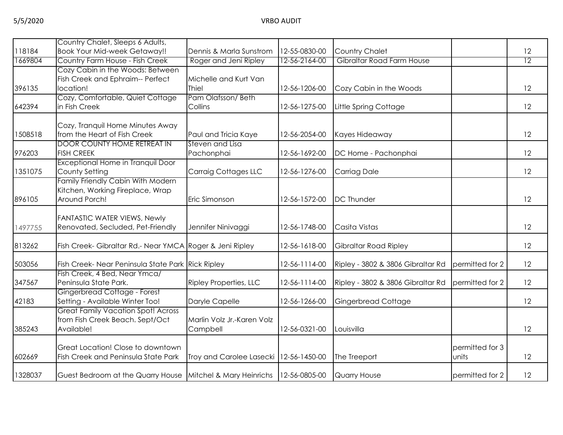|         | Country Chalet, Sleeps 6 Adults,                                                   |                                          |               |                                   |                          |                 |
|---------|------------------------------------------------------------------------------------|------------------------------------------|---------------|-----------------------------------|--------------------------|-----------------|
| 118184  | <b>Book Your Mid-week Getaway!!</b>                                                | Dennis & Marla Sunstrom                  | 12-55-0830-00 | <b>Country Chalet</b>             |                          | 12              |
| 1669804 | Country Farm House - Fish Creek                                                    | Roger and Jeni Ripley                    | 12-56-2164-00 | Gibraltar Road Farm House         |                          | $\overline{12}$ |
|         | Cozy Cabin in the Woods: Between                                                   |                                          |               |                                   |                          |                 |
|         | Fish Creek and Ephraim-- Perfect                                                   | Michelle and Kurt Van                    |               |                                   |                          |                 |
| 396135  | location!                                                                          | <b>Thiel</b>                             | 12-56-1206-00 | Cozy Cabin in the Woods           |                          | 12              |
|         | Cozy, Comfortable, Quiet Cottage                                                   | Pam Olafsson/Beth                        |               |                                   |                          |                 |
| 642394  | in Fish Creek                                                                      | Collins                                  | 12-56-1275-00 | Little Spring Cottage             |                          | 12              |
|         |                                                                                    |                                          |               |                                   |                          |                 |
| 1508518 | Cozy, Tranquil Home Minutes Away<br>from the Heart of Fish Creek                   |                                          | 12-56-2054-00 |                                   |                          | 12              |
|         | <b>DOOR COUNTY HOME RETREAT IN</b>                                                 | Paul and Tricia Kaye<br>Steven and Lisa  |               | Kayes Hideaway                    |                          |                 |
| 976203  | <b>FISH CREEK</b>                                                                  | Pachonphai                               | 12-56-1692-00 | DC Home - Pachonphai              |                          | 12              |
|         | Exceptional Home in Tranquil Door                                                  |                                          |               |                                   |                          |                 |
| 1351075 | County Setting                                                                     | <b>Carraig Cottages LLC</b>              | 12-56-1276-00 | Carriag Dale                      |                          | 12              |
|         | Family Friendly Cabin With Modern                                                  |                                          |               |                                   |                          |                 |
|         | Kitchen, Working Fireplace, Wrap                                                   |                                          |               |                                   |                          |                 |
| 896105  | Around Porch!                                                                      | Eric Simonson                            | 12-56-1572-00 | <b>DC Thunder</b>                 |                          | 12              |
|         |                                                                                    |                                          |               |                                   |                          |                 |
|         | FANTASTIC WATER VIEWS, Newly<br>Renovated, Secluded, Pet-Friendly                  |                                          | 12-56-1748-00 | Casita Vistas                     |                          | 12              |
| 1497755 |                                                                                    | Jennifer Ninivaggi                       |               |                                   |                          |                 |
| 813262  | Fish Creek- Gibraltar Rd.- Near YMCA Roger & Jeni Ripley                           |                                          | 12-56-1618-00 | Gibraltar Road Ripley             |                          | 12              |
|         |                                                                                    |                                          |               |                                   |                          |                 |
| 503056  | Fish Creek- Near Peninsula State Park Rick Ripley<br>Fish Creek, 4 Bed, Near Ymca/ |                                          | 12-56-1114-00 | Ripley - 3802 & 3806 Gibraltar Rd | permitted for 2          | 12              |
| 347567  | Peninsula State Park.                                                              | <b>Ripley Properties, LLC</b>            | 12-56-1114-00 | Ripley - 3802 & 3806 Gibraltar Rd | permitted for 2          | 12              |
|         | Gingerbread Cottage - Forest                                                       |                                          |               |                                   |                          |                 |
| 42183   | Setting - Available Winter Too!                                                    | Daryle Capelle                           | 12-56-1266-00 | Gingerbread Cottage               |                          | 12              |
|         | <b>Great Family Vacation Spot! Across</b>                                          |                                          |               |                                   |                          |                 |
|         | from Fish Creek Beach. Sept/Oct                                                    | Marlin Volz Jr.-Karen Volz               |               |                                   |                          |                 |
| 385243  | Available!                                                                         | Campbell                                 | 12-56-0321-00 | Louisvilla                        |                          | 12              |
|         | Great Location! Close to downtown                                                  |                                          |               |                                   |                          |                 |
| 602669  | Fish Creek and Peninsula State Park                                                | Troy and Carolee Lasecki   12-56-1450-00 |               | The Treeport                      | permitted for 3<br>units | 12              |
|         |                                                                                    |                                          |               |                                   |                          |                 |
| 1328037 | Guest Bedroom at the Quarry House Mitchel & Mary Heinrichs                         |                                          | 12-56-0805-00 | <b>Quarry House</b>               | permitted for 2          | 12              |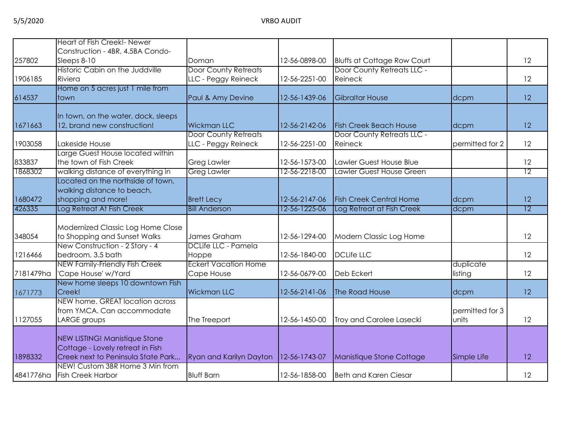|           | Heart of Fish Creek!- Newer           |                             |               |                                    |                 |                 |
|-----------|---------------------------------------|-----------------------------|---------------|------------------------------------|-----------------|-----------------|
|           | Construction - 4BR, 4.5BA Condo-      |                             |               |                                    |                 |                 |
| 257802    | Sleeps 8-10                           | Doman                       | 12-56-0898-00 | <b>Bluffs at Cottage Row Court</b> |                 | 12              |
|           | Historic Cabin on the Juddville       | <b>Door County Retreats</b> |               | Door County Retreats LLC -         |                 |                 |
| 1906185   | Riviera                               | LLC - Peggy Reineck         | 12-56-2251-00 | Reineck                            |                 | 12              |
|           | Home on 5 acres just 1 mile from      |                             |               |                                    |                 |                 |
| 614537    | ltown.                                | Paul & Amy Devine           | 12-56-1439-06 | <b>Gibraltar House</b>             | dcpm            | 12              |
|           | In town, on the water, dock, sleeps   |                             |               |                                    |                 |                 |
| 1671663   | 12, brand new construction!           | <b>Wickman LLC</b>          | 12-56-2142-06 | <b>Fish Creek Beach House</b>      | dcpm            | 12              |
|           |                                       | <b>Door County Retreats</b> |               | Door County Retreats LLC -         |                 |                 |
| 1903058   | Lakeside House                        | LLC - Peggy Reineck         | 12-56-2251-00 | Reineck                            | permitted for 2 | 12              |
|           | Large Guest House located within      |                             |               |                                    |                 |                 |
| 833837    | the town of Fish Creek                | <b>Greg Lawler</b>          | 12-56-1573-00 | Lawler Guest House Blue            |                 | 12              |
| 1868302   | walking distance of everything in     | <b>Greg Lawler</b>          | 12-56-2218-00 | <b>Lawler Guest House Green</b>    |                 | 12              |
|           | Located on the northside of town,     |                             |               |                                    |                 |                 |
|           | walking distance to beach,            |                             |               |                                    |                 |                 |
| 1680472   | shopping and more!                    | <b>Brett Lecy</b>           | 12-56-2147-06 | <b>Fish Creek Central Home</b>     | dcpm            | 12              |
| 426335    | Log Retreat At Fish Creek             | <b>Bill Anderson</b>        | 12-56-1225-06 | Log Retreat at Fish Creek          | dcpm            | $\overline{12}$ |
|           |                                       |                             |               |                                    |                 |                 |
|           | Modernized Classic Log Home Close     |                             |               |                                    |                 |                 |
| 348054    | to Shopping and Sunset Walks          | James Graham                | 12-56-1294-00 | Modern Classic Log Home            |                 | 12              |
|           | New Construction - 2 Story - 4        | DCLife LLC - Pamela         |               |                                    |                 |                 |
| 1216466   | bedroom, 3.5 bath                     | Hoppe                       | 12-56-1840-00 | <b>DCLife LLC</b>                  |                 | 12              |
|           | <b>NEW Family-Friendly Fish Creek</b> | <b>Eckert Vacation Home</b> |               |                                    | duplicate       |                 |
| 7181479ha | 'Cape House' w/Yard                   | Cape House                  | 12-56-0679-00 | Deb Eckert                         | listing         | 12              |
|           | New home sleeps 10 downtown Fish      |                             |               |                                    |                 |                 |
| 1671773   | Creek!                                | <b>Wickman LLC</b>          | 12-56-2141-06 | The Road House                     | dcpm            | 12              |
|           | NEW home. GREAT location across       |                             |               |                                    |                 |                 |
|           | from YMCA. Can accommodate            |                             |               |                                    | permitted for 3 |                 |
| 1127055   | LARGE groups                          | The Treeport                | 12-56-1450-00 | Troy and Carolee Lasecki           | units           | 12              |
|           | NEW LISTING! Manistique Stone         |                             |               |                                    |                 |                 |
|           | Cottage - Lovely retreat in Fish      |                             |               |                                    |                 |                 |
| 1898332   | Creek next to Peninsula State Park    | Ryan and Karilyn Dayton     | 12-56-1743-07 | Manistique Stone Cottage           | Simple Life     | 12              |
|           | NEW! Custom 3BR Home 3 Min from       |                             |               |                                    |                 |                 |
| 4841776ha | <b>Fish Creek Harbor</b>              | <b>Bluff Barn</b>           | 12-56-1858-00 | <b>Beth and Karen Ciesar</b>       |                 | 12              |
|           |                                       |                             |               |                                    |                 |                 |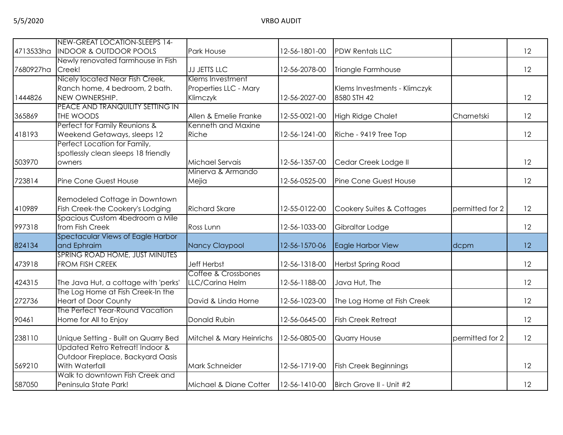|           | NEW-GREAT LOCATION-SLEEPS 14-        |                          |               |                              |                 |    |
|-----------|--------------------------------------|--------------------------|---------------|------------------------------|-----------------|----|
| 4713533ha | <b>INDOOR &amp; OUTDOOR POOLS</b>    | Park House               | 12-56-1801-00 | <b>PDW Rentals LLC</b>       |                 | 12 |
|           | Newly renovated farmhouse in Fish    |                          |               |                              |                 |    |
| 7680927ha | Creek!                               | JJ JETTS LLC             | 12-56-2078-00 | Triangle Farmhouse           |                 | 12 |
|           | Nicely located Near Fish Creek,      | Klems Investment         |               |                              |                 |    |
|           | Ranch home, 4 bedroom, 2 bath.       | Properties LLC - Mary    |               | Klems Investments - Klimczyk |                 |    |
| 1444826   | NEW OWNERSHIP.                       | Klimczyk                 | 12-56-2027-00 | 8580 STH 42                  |                 | 12 |
|           | PEACE AND TRANQUILITY SETTING IN     |                          |               |                              |                 |    |
| 365869    | THE WOODS                            | Allen & Emelie Franke    | 12-55-0021-00 | <b>High Ridge Chalet</b>     | Charnetski      | 12 |
|           | Perfect for Family Reunions &        | Kenneth and Maxine       |               |                              |                 |    |
| 418193    | Weekend Getaways, sleeps 12          | Riche                    | 12-56-1241-00 | Riche - 9419 Tree Top        |                 | 12 |
|           | Perfect Location for Family,         |                          |               |                              |                 |    |
|           | spotlessly clean sleeps 18 friendly  |                          |               |                              |                 |    |
| 503970    | owners                               | Michael Servais          | 12-56-1357-00 | Cedar Creek Lodge II         |                 | 12 |
|           |                                      | Minerva & Armando        |               |                              |                 |    |
| 723814    | Pine Cone Guest House                | Mejia                    | 12-56-0525-00 | Pine Cone Guest House        |                 | 12 |
|           |                                      |                          |               |                              |                 |    |
|           | Remodeled Cottage in Downtown        |                          |               |                              |                 |    |
| 410989    | Fish Creek-the Cookery's Lodging     | <b>Richard Skare</b>     | 12-55-0122-00 | Cookery Suites & Cottages    | permitted for 2 | 12 |
|           | Spacious Custom 4bedroom a Mile      |                          |               |                              |                 |    |
| 997318    | from Fish Creek                      | Ross Lunn                | 12-56-1033-00 | Gibraltar Lodge              |                 | 12 |
|           | Spectacular Views of Eagle Harbor    |                          |               |                              |                 |    |
| 824134    | and Ephraim                          | Nancy Claypool           | 12-56-1570-06 | Eagle Harbor View            | dcpm            | 12 |
|           | SPRING ROAD HOME, JUST MINUTES       |                          |               |                              |                 |    |
| 473918    | <b>FROM FISH CREEK</b>               | <b>Jeff Herbst</b>       | 12-56-1318-00 | Herbst Spring Road           |                 | 12 |
|           |                                      | Coffee & Crossbones      |               |                              |                 |    |
| 424315    | The Java Hut, a cottage with 'perks' | LLC/Carina Helm          | 12-56-1188-00 | Java Hut, The                |                 | 12 |
|           | The Log Home at Fish Creek-In the    |                          |               |                              |                 |    |
| 272736    | <b>Heart of Door County</b>          | David & Linda Horne      | 12-56-1023-00 | The Log Home at Fish Creek   |                 | 12 |
|           | The Perfect Year-Round Vacation      |                          |               |                              |                 |    |
| 90461     | Home for All to Enjoy                | Donald Rubin             | 12-56-0645-00 | <b>Fish Creek Retreat</b>    |                 | 12 |
|           |                                      |                          |               |                              |                 |    |
| 238110    | Unique Setting - Built on Quarry Bed | Mitchel & Mary Heinrichs | 12-56-0805-00 | <b>Quarry House</b>          | permitted for 2 | 12 |
|           | Updated Retro Retreat! Indoor &      |                          |               |                              |                 |    |
|           | Outdoor Fireplace, Backyard Oasis    |                          |               |                              |                 |    |
| 569210    | With Waterfall                       | Mark Schneider           | 12-56-1719-00 | <b>Fish Creek Beginnings</b> |                 | 12 |
|           | Walk to downtown Fish Creek and      |                          |               |                              |                 |    |
| 587050    | Peninsula State Park!                | Michael & Diane Cotter   | 12-56-1410-00 | Birch Grove II - Unit #2     |                 | 12 |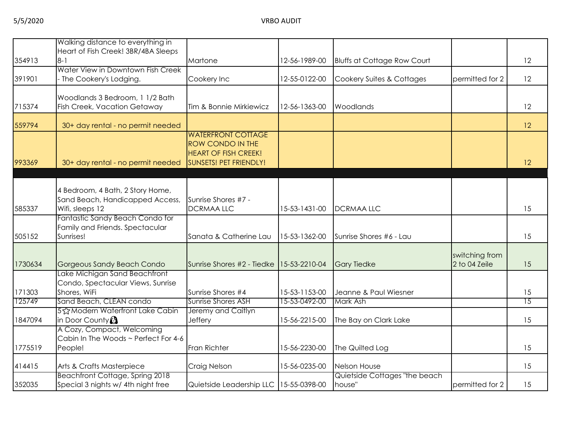|         | Walking distance to everything in                                      |                                                        |               |                                         |                 |                 |
|---------|------------------------------------------------------------------------|--------------------------------------------------------|---------------|-----------------------------------------|-----------------|-----------------|
| 354913  | Heart of Fish Creek! 3BR/4BA Sleeps<br>$8 - 1$                         | Martone                                                | 12-56-1989-00 | <b>Bluffs at Cottage Row Court</b>      |                 | 12              |
|         | Water View in Downtown Fish Creek                                      |                                                        |               |                                         |                 |                 |
| 391901  | The Cookery's Lodging.                                                 | Cookery Inc                                            | 12-55-0122-00 | Cookery Suites & Cottages               | permitted for 2 | 12              |
|         |                                                                        |                                                        |               |                                         |                 |                 |
| 715374  | Woodlands 3 Bedroom, 1 1/2 Bath<br><b>Fish Creek, Vacation Getaway</b> | Tim & Bonnie Mirkiewicz                                | 12-56-1363-00 | Woodlands                               |                 | 12              |
|         |                                                                        |                                                        |               |                                         |                 |                 |
| 559794  | 30+ day rental - no permit needed                                      |                                                        |               |                                         |                 | 12              |
|         |                                                                        | <b>WATERFRONT COTTAGE</b>                              |               |                                         |                 |                 |
|         |                                                                        | <b>ROW CONDO IN THE</b><br><b>HEART OF FISH CREEK!</b> |               |                                         |                 |                 |
| 993369  | 30+ day rental - no permit needed                                      | <b>SUNSETS! PET FRIENDLY!</b>                          |               |                                         |                 | 12              |
|         |                                                                        |                                                        |               |                                         |                 |                 |
|         |                                                                        |                                                        |               |                                         |                 |                 |
|         | 4 Bedroom, 4 Bath, 2 Story Home,<br>Sand Beach, Handicapped Access,    | Sunrise Shores #7 -                                    |               |                                         |                 |                 |
| 585337  | Wifi, sleeps 12                                                        | <b>DCRMAALLC</b>                                       | 15-53-1431-00 | <b>DCRMAALLC</b>                        |                 | 15              |
|         | Fantastic Sandy Beach Condo for                                        |                                                        |               |                                         |                 |                 |
|         | Family and Friends. Spectacular                                        |                                                        |               |                                         |                 |                 |
| 505152  | Sunrises!                                                              | Sanata & Catherine Lau                                 | 15-53-1362-00 | Sunrise Shores #6 - Lau                 |                 | 15              |
|         |                                                                        |                                                        |               |                                         | switching from  |                 |
| 1730634 | Gorgeous Sandy Beach Condo                                             | Sunrise Shores #2 - Tiedke 15-53-2210-04               |               | <b>Gary Tiedke</b>                      | 2 to 04 Zeile   | 15              |
|         | Lake Michigan Sand Beachfront                                          |                                                        |               |                                         |                 |                 |
| 171303  | Condo, Spectacular Views, Sunrise<br>Shores, WiFi                      | Sunrise Shores #4                                      | 15-53-1153-00 | Jeanne & Paul Wiesner                   |                 | 15              |
| 125749  | Sand Beach, CLEAN condo                                                | Sunrise Shores ASH                                     | 15-53-0492-00 | Mark Ash                                |                 | $\overline{15}$ |
|         | 5% Modern Waterfront Lake Cabin                                        | Jeremy and Caitlyn                                     |               |                                         |                 |                 |
| 1847094 | in Door County <sup>3</sup>                                            | Jeffery                                                | 15-56-2215-00 | The Bay on Clark Lake                   |                 | 15              |
|         | A Cozy, Compact, Welcoming<br>Cabin In The Woods ~ Perfect For 4-6     |                                                        |               |                                         |                 |                 |
| 1775519 | People!                                                                | Fran Richter                                           | 15-56-2230-00 | The Quilted Log                         |                 | 15              |
|         |                                                                        |                                                        |               |                                         |                 |                 |
| 414415  | Arts & Crafts Masterpiece                                              | Craig Nelson                                           | 15-56-0235-00 | <b>Nelson House</b>                     |                 | 15              |
| 352035  | Beachfront Cottage, Spring 2018<br>Special 3 nights w/ 4th night free  | Quietside Leadership LLC   15-55-0398-00               |               | Quietside Cottages "the beach<br>house" | permitted for 2 | 15              |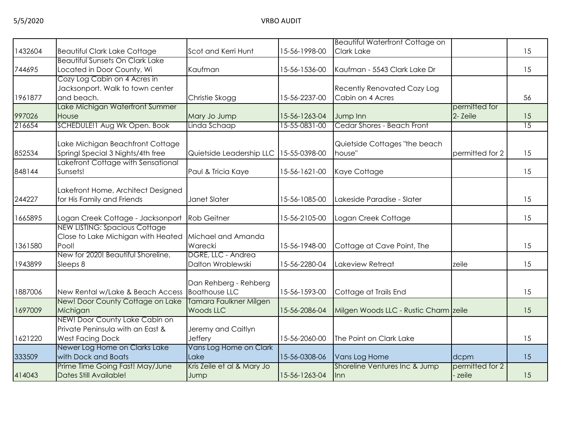|         |                                            |                                            |               | <b>Beautiful Waterfront Cottage on</b> |                 |                 |
|---------|--------------------------------------------|--------------------------------------------|---------------|----------------------------------------|-----------------|-----------------|
| 1432604 | <b>Beautiful Clark Lake Cottage</b>        | Scot and Kerri Hunt                        | 15-56-1998-00 | <b>Clark Lake</b>                      |                 | 15              |
|         | <b>Beautiful Sunsets On Clark Lake</b>     |                                            |               |                                        |                 |                 |
| 744695  | Located in Door County, Wi                 | Kaufman                                    | 15-56-1536-00 | Kaufman - 5543 Clark Lake Dr           |                 | 15              |
|         | Cozy Log Cabin on 4 Acres in               |                                            |               |                                        |                 |                 |
|         | Jacksonport. Walk to town center           |                                            |               | <b>Recently Renovated Cozy Log</b>     |                 |                 |
| 1961877 | and beach.                                 | Christie Skogg                             | 15-56-2237-00 | Cabin on 4 Acres                       |                 | 56              |
|         | Lake Michigan Waterfront Summer            |                                            |               |                                        | permitted for   |                 |
| 997026  | House                                      | Mary Jo Jump                               | 15-56-1263-04 | Jump Inn                               | 2- Zeile        | 15              |
| 216654  | SCHEDULE!1 Aug Wk Open. Book               | Linda Schaap                               | 15-55-0831-00 | Cedar Shores - Beach Front             |                 | $\overline{15}$ |
|         |                                            |                                            |               |                                        |                 |                 |
|         | Lake Michigan Beachfront Cottage           |                                            |               | Quietside Cottages "the beach          |                 |                 |
| 852534  | Springl Special 3 Nights/4th free          | Quietside Leadership LLC 15-55-0398-00     |               | house"                                 | permitted for 2 | 15              |
|         | Lakefront Cottage with Sensational         |                                            |               |                                        |                 |                 |
| 848144  | Sunsets!                                   | Paul & Tricia Kaye                         | 15-56-1621-00 | Kaye Cottage                           |                 | 15              |
|         | Lakefront Home, Architect Designed         |                                            |               |                                        |                 |                 |
| 244227  | for His Family and Friends                 | Janet Slater                               | 15-56-1085-00 | Lakeside Paradise - Slater             |                 | 15              |
|         |                                            |                                            |               |                                        |                 |                 |
| 1665895 | Logan Creek Cottage - Jacksonport          | <b>Rob Geitner</b>                         | 15-56-2105-00 | Logan Creek Cottage                    |                 | 15              |
|         | <b>NEW LISTING: Spacious Cottage</b>       |                                            |               |                                        |                 |                 |
|         | Close to Lake Michigan with Heated         | Michael and Amanda                         |               |                                        |                 |                 |
| 1361580 | Pool!                                      | Warecki                                    | 15-56-1948-00 | Cottage at Cave Point, The             |                 | 15              |
|         | New for 2020! Beautiful Shoreline,         | DGRE, LLC - Andrea                         |               |                                        |                 |                 |
| 1943899 | Sleeps 8                                   | Dalton Wroblewski                          | 15-56-2280-04 | Lakeview Retreat                       | zeile           | 15              |
|         |                                            |                                            |               |                                        |                 |                 |
|         |                                            | Dan Rehberg - Rehberg                      |               |                                        |                 |                 |
| 1887006 | New Rental w/Lake & Beach Access           | <b>Boathouse LLC</b>                       | 15-56-1593-00 | Cottage at Trails End                  |                 | 15              |
| 1697009 | New! Door County Cottage on Lake           | Tamara Faulkner Milgen<br><b>Woods LLC</b> | 15-56-2086-04 |                                        |                 | 15              |
|         | Michigan<br>NEW! Door County Lake Cabin on |                                            |               | Milgen Woods LLC - Rustic Charm zeile  |                 |                 |
|         | Private Peninsula with an East &           | Jeremy and Caitlyn                         |               |                                        |                 |                 |
| 1621220 | <b>West Facing Dock</b>                    | <b>Jeffery</b>                             | 15-56-2060-00 | The Point on Clark Lake                |                 | 15              |
|         | Newer Log Home on Clarks Lake              | Vans Log Home on Clark                     |               |                                        |                 |                 |
| 333509  | with Dock and Boats                        | Lake                                       | 15-56-0308-06 | Vans Log Home                          | dcpm            | 15              |
|         | Prime Time Going Fast! May/June            | Kris Zeile et al & Mary Jo                 |               | Shoreline Ventures Inc & Jump          | permitted for 2 |                 |
| 414043  | Dates Still Available!                     | Jump                                       | 15-56-1263-04 | lnn.                                   | zeile           | 15              |
|         |                                            |                                            |               |                                        |                 |                 |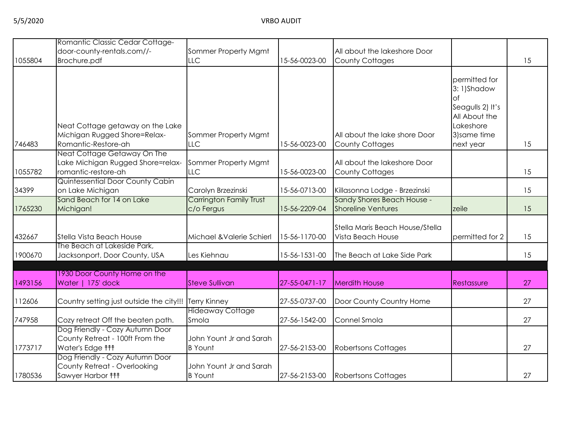|         | Romantic Classic Cedar Cottage-          |                                                |                      |                                                         |                  |    |
|---------|------------------------------------------|------------------------------------------------|----------------------|---------------------------------------------------------|------------------|----|
|         | door-county-rentals.com//-               | Sommer Property Mgmt                           |                      | All about the lakeshore Door                            |                  |    |
| 1055804 | Brochure.pdf                             | LLC                                            | 15-56-0023-00        | <b>County Cottages</b>                                  |                  | 15 |
|         |                                          |                                                |                      |                                                         | permitted for    |    |
|         |                                          |                                                |                      |                                                         | 3:1)Shadow       |    |
|         |                                          |                                                |                      |                                                         | оf               |    |
|         |                                          |                                                |                      |                                                         | Seagulls 2) It's |    |
|         |                                          |                                                |                      |                                                         | All About the    |    |
|         | Neat Cottage getaway on the Lake         |                                                |                      |                                                         | Lakeshore        |    |
|         | Michigan Rugged Shore=Relax-             | Sommer Property Mgmt                           |                      | All about the lake shore Door                           | 3) same time     |    |
| 746483  | Romantic-Restore-ah                      | LLC                                            | 15-56-0023-00        | <b>County Cottages</b>                                  | next year        | 15 |
|         | Neat Cottage Getaway On The              |                                                |                      |                                                         |                  |    |
|         | Lake Michigan Rugged Shore=relax-        | Sommer Property Mgmt                           |                      | All about the lakeshore Door                            |                  |    |
| 1055782 | romantic-restore-ah                      | LLC                                            | 15-56-0023-00        | <b>County Cottages</b>                                  |                  | 15 |
|         | Quintessential Door County Cabin         |                                                |                      |                                                         |                  |    |
| 34399   | on Lake Michigan                         | Carolyn Brzezinski                             | 15-56-0713-00        | Killasonna Lodge - Brzezinski                           |                  | 15 |
| 1765230 | Sand Beach for 14 on Lake                | <b>Carrington Family Trust</b>                 | 15-56-2209-04        | Sandy Shores Beach House -<br><b>Shoreline Ventures</b> |                  | 15 |
|         | Michigan!                                | c/o Fergus                                     |                      |                                                         | zeile            |    |
|         |                                          |                                                |                      | Stella Maris Beach House/Stella                         |                  |    |
| 432667  | Stella Vista Beach House                 | Michael & Valerie Schierl                      | 15-56-1170-00        | Vista Beach House                                       | permitted for 2  | 15 |
|         | The Beach at Lakeside Park,              |                                                |                      |                                                         |                  |    |
| 1900670 | Jacksonport, Door County, USA            | Les Kiehnau                                    | 15-56-1531-00        | The Beach at Lake Side Park                             |                  | 15 |
|         |                                          |                                                |                      |                                                         |                  |    |
|         | 1930 Door County Home on the             |                                                |                      |                                                         |                  |    |
| 1493156 | Water   175' dock                        | <b>Steve Sullivan</b>                          | $27 - 55 - 047 - 17$ | <b>Merdith House</b>                                    | Restassure       | 27 |
|         |                                          |                                                |                      |                                                         |                  |    |
| 112606  | Country setting just outside the city!!! | <b>Terry Kinney</b><br><b>Hideaway Cottage</b> | 27-55-0737-00        | Door County Country Home                                |                  | 27 |
| 747958  | Cozy retreat Off the beaten path.        | Smola                                          | 27-56-1542-00        | Connel Smola                                            |                  | 27 |
|         | Dog Friendly - Cozy Autumn Door          |                                                |                      |                                                         |                  |    |
|         | County Retreat - 100ft From the          | John Yount Jr and Sarah                        |                      |                                                         |                  |    |
| 1773717 | Water's Edge <sup>11</sup>               | <b>B</b> Yount                                 | 27-56-2153-00        | <b>Robertsons Cottages</b>                              |                  | 27 |
|         | Dog Friendly - Cozy Autumn Door          |                                                |                      |                                                         |                  |    |
|         | County Retreat - Overlooking             | John Yount Jr and Sarah                        |                      |                                                         |                  |    |
| 1780536 | Sawyer Harbor <sup>11</sup>              | <b>B</b> Yount                                 | 27-56-2153-00        | <b>Robertsons Cottages</b>                              |                  | 27 |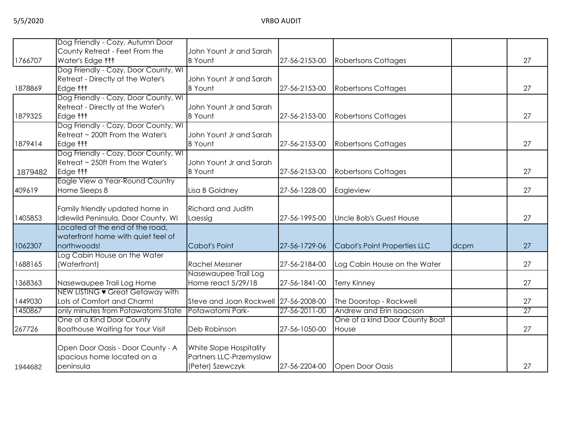|         | Dog Friendly - Cozy, Autumn Door        |                                       |               |                                |      |                 |
|---------|-----------------------------------------|---------------------------------------|---------------|--------------------------------|------|-----------------|
|         | County Retreat - Feet From the          | John Yount Jr and Sarah               |               |                                |      |                 |
| 1766707 | Water's Edge <sup>11</sup>              | <b>B</b> Yount                        | 27-56-2153-00 | <b>Robertsons Cottages</b>     |      | 27              |
|         | Dog Friendly - Cozy, Door County, WI    |                                       |               |                                |      |                 |
|         | Retreat - Directly at the Water's       | John Yount Jr and Sarah               |               |                                |      |                 |
| 1878869 | Edge <b>fff</b>                         | <b>B</b> Yount                        | 27-56-2153-00 | <b>Robertsons Cottages</b>     |      | 27              |
|         | Dog Friendly - Cozy, Door County, WI    |                                       |               |                                |      |                 |
|         | Retreat - Directly at the Water's       | John Yount Jr and Sarah               |               |                                |      |                 |
| 1879325 | Edge <b>fff</b>                         | <b>B</b> Yount                        | 27-56-2153-00 | <b>Robertsons Cottages</b>     |      | 27              |
|         | Dog Friendly - Cozy, Door County, WI    |                                       |               |                                |      |                 |
|         | Retreat ~ 200ft From the Water's        | John Yount Jr and Sarah               |               |                                |      |                 |
| 1879414 | Edge <b>fff</b>                         | <b>B</b> Yount                        | 27-56-2153-00 | <b>Robertsons Cottages</b>     |      | 27              |
|         | Dog Friendly - Cozy, Door County, WI    |                                       |               |                                |      |                 |
|         | Retreat ~ 250ft From the Water's        | John Yount Jr and Sarah               |               |                                |      |                 |
| 1879482 | Edge <b>fff</b>                         | <b>B</b> Yount                        | 27-56-2153-00 | <b>Robertsons Cottages</b>     |      | 27              |
|         | Eagle View a Year-Round Country         |                                       |               |                                |      |                 |
| 409619  | Home Sleeps 8                           | Lisa B Goldney                        | 27-56-1228-00 | Eagleview                      |      | 27              |
|         |                                         |                                       |               |                                |      |                 |
|         | Family friendly updated home in         | Richard and Judith                    |               |                                |      |                 |
| 1405853 | Idlewild Peninsula, Door County, WI     | Laessig                               | 27-56-1995-00 | Uncle Bob's Guest House        |      | 27              |
|         | Located at the end of the road,         |                                       |               |                                |      |                 |
|         | waterfront home with quiet feel of      |                                       |               |                                |      |                 |
| 1062307 | northwoods!                             | Cabot's Point                         | 27-56-1729-06 | Cabot's Point Properties LLC   | dcpm | 27              |
|         | Log Cabin House on the Water            |                                       |               |                                |      |                 |
| 1688165 | (Waterfront)                            | <b>Rachel Messner</b>                 | 27-56-2184-00 | Log Cabin House on the Water   |      | 27              |
|         |                                         | Nasewaupee Trail Log                  |               |                                |      |                 |
| 1368363 | Nasewaupee Trail Log Home               | Home react 5/29/18                    | 27-56-1841-00 | <b>Terry Kinney</b>            |      | 27              |
|         | NEW LISTING • Great Getaway with        |                                       |               |                                |      |                 |
| 1449030 | Lots of Comfort and Charm!              | Steve and Joan Rockwell 27-56-2008-00 |               | The Doorstop - Rockwell        |      | 27              |
| 1450867 | only minutes from Potawatomi State      | Potawatomi Park-                      | 27-56-2011-00 | Andrew and Erin Isaacson       |      | $\overline{27}$ |
|         | One of a Kind Door County               |                                       |               | One of a kind Door County Boat |      |                 |
| 267726  | <b>Boathouse Waiting for Your Visit</b> | Deb Robinson                          | 27-56-1050-00 | House                          |      | 27              |
|         |                                         |                                       |               |                                |      |                 |
|         |                                         |                                       |               |                                |      |                 |
|         | Open Door Oasis - Door County - A       | White Slope Hospitality               |               |                                |      |                 |
|         | spacious home located on a              | Partners LLC-Przemyslaw               |               |                                |      |                 |
| 1944682 | peninsula                               | (Peter) Szewczyk                      | 27-56-2204-00 | <b>Open Door Oasis</b>         |      | 27              |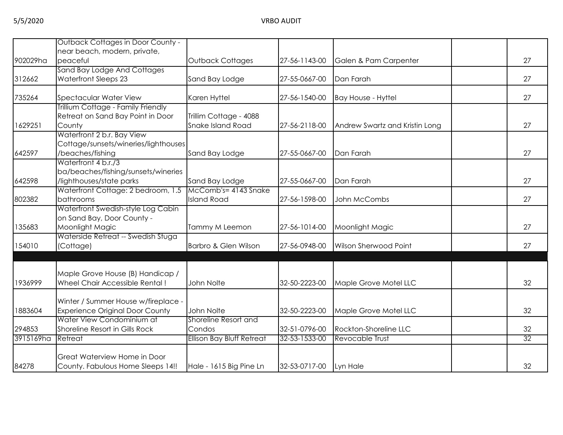|           | <b>Outback Cottages in Door County -</b> |                                  |               |                                |    |
|-----------|------------------------------------------|----------------------------------|---------------|--------------------------------|----|
|           | near beach, modern, private,             |                                  |               |                                |    |
| 902029ha  | peaceful                                 | Outback Cottages                 | 27-56-1143-00 | Galen & Pam Carpenter          | 27 |
|           | Sand Bay Lodge And Cottages              |                                  |               |                                |    |
| 312662    | <b>Waterfront Sleeps 23</b>              | Sand Bay Lodge                   | 27-55-0667-00 | Dan Farah                      | 27 |
| 735264    | <b>Spectacular Water View</b>            | Karen Hyttel                     | 27-56-1540-00 | <b>Bay House - Hyttel</b>      | 27 |
|           | Trillium Cottage - Family Friendly       |                                  |               |                                |    |
|           | Retreat on Sand Bay Point in Door        | Trillim Cottage - 4088           |               |                                |    |
| 1629251   | County                                   | <b>Snake Island Road</b>         | 27-56-2118-00 | Andrew Swartz and Kristin Long | 27 |
|           | Waterfront 2 b.r. Bay View               |                                  |               |                                |    |
|           | Cottage/sunsets/wineries/lighthouses     |                                  |               |                                |    |
| 642597    | /beaches/fishing                         | Sand Bay Lodge                   | 27-55-0667-00 | Dan Farah                      | 27 |
|           | Waterfront 4 b.r./3                      |                                  |               |                                |    |
|           | ba/beaches/fishing/sunsets/wineries      |                                  |               |                                |    |
| 642598    | /lighthouses/state parks                 | Sand Bay Lodge                   | 27-55-0667-00 | Dan Farah                      | 27 |
|           | Waterfront Cottage: 2 bedroom, 1.5       | McComb's= 4143 Snake             |               |                                |    |
| 802382    | bathrooms                                | <b>Island Road</b>               | 27-56-1598-00 | John McCombs                   | 27 |
|           | Waterfront Swedish-style Log Cabin       |                                  |               |                                |    |
|           | on Sand Bay, Door County -               |                                  |               |                                |    |
| 135683    | Moonlight Magic                          | Tammy M Leemon                   | 27-56-1014-00 | Moonlight Magic                | 27 |
|           | Waterside Retreat -- Swedish Stuga       |                                  |               |                                |    |
| 154010    | (Cottage)                                | Barbro & Glen Wilson             | 27-56-0948-00 | Wilson Sherwood Point          | 27 |
|           |                                          |                                  |               |                                |    |
|           | Maple Grove House (B) Handicap /         |                                  |               |                                |    |
| 1936999   | Wheel Chair Accessible Rental!           | John Nolte                       | 32-50-2223-00 | Maple Grove Motel LLC          | 32 |
|           |                                          |                                  |               |                                |    |
|           | Winter / Summer House w/fireplace -      |                                  |               |                                |    |
| 1883604   | <b>Experience Original Door County</b>   | John Nolte                       | 32-50-2223-00 | Maple Grove Motel LLC          | 32 |
|           | Water View Condominium at                | Shoreline Resort and             |               |                                |    |
| 294853    | Shoreline Resort in Gills Rock           | Condos                           | 32-51-0796-00 | Rockton-Shoreline LLC          | 32 |
| 3915169ha | Retreat                                  | <b>Ellison Bay Bluff Retreat</b> | 32-53-1533-00 | Revocable Trust                | 32 |
|           | Great Waterview Home in Door             |                                  |               |                                |    |
| 84278     | County. Fabulous Home Sleeps 14!!        | Hale - 1615 Big Pine Ln          | 32-53-0717-00 | Lyn Hale                       | 32 |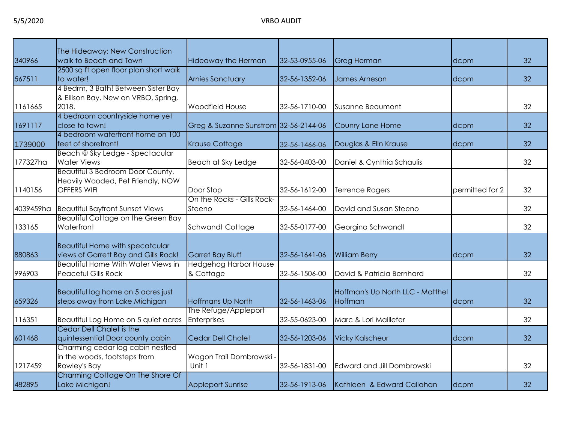|           | The Hideaway: New Construction            |                                       |               |                                  |                 |    |
|-----------|-------------------------------------------|---------------------------------------|---------------|----------------------------------|-----------------|----|
| 340966    | walk to Beach and Town                    | <b>Hideaway the Herman</b>            | 32-53-0955-06 | <b>Greg Herman</b>               | dcpm            | 32 |
|           | 2500 sq ft open floor plan short walk     |                                       |               |                                  |                 |    |
| 567511    | to water!                                 | <b>Arnies Sanctuary</b>               | 32-56-1352-06 | <b>James Arneson</b>             | dcpm            | 32 |
|           | 4 Bedrm, 3 Bath! Between Sister Bay       |                                       |               |                                  |                 |    |
|           | & Ellison Bay. New on VRBO, Spring,       |                                       |               |                                  |                 |    |
| 1161665   | 2018.                                     | Woodfield House                       | 32-56-1710-00 | <b>Susanne Beaumont</b>          |                 | 32 |
|           | 4 bedroom countryside home yet            |                                       |               |                                  |                 |    |
| 1691117   | close to town!                            | Greg & Suzanne Sunstrom 32-56-2144-06 |               | Counry Lane Home                 | dcpm            | 32 |
|           | 4 bedroom waterfront home on 100          |                                       |               |                                  |                 |    |
| 1739000   | feet of shorefront!                       | <b>Krause Cottage</b>                 | 32-56-1466-06 | Douglas & Elln Krause            | dcpm            | 32 |
|           | Beach @ Sky Ledge - Spectacular           |                                       |               |                                  |                 |    |
| 177327ha  | <b>Water Views</b>                        | Beach at Sky Ledge                    | 32-56-0403-00 | Daniel & Cynthia Schaulis        |                 | 32 |
|           | Beautiful 3 Bedroom Door County,          |                                       |               |                                  |                 |    |
|           | Heavily Wooded, Pet Friendly, NOW         |                                       |               |                                  |                 |    |
| 1140156   | <b>OFFERS WIFI</b>                        | Door Stop                             | 32-56-1612-00 | <b>Terrence Rogers</b>           | permitted for 2 | 32 |
|           |                                           | On the Rocks - Gills Rock-            |               |                                  |                 |    |
| 4039459ha | <b>Beautiful Bayfront Sunset Views</b>    | Steeno                                | 32-56-1464-00 | David and Susan Steeno           |                 | 32 |
|           | <b>Beautiful Cottage on the Green Bay</b> |                                       |               |                                  |                 |    |
| 133165    | Waterfront                                | <b>Schwandt Cottage</b>               | 32-55-0177-00 | Georgina Schwandt                |                 | 32 |
|           |                                           |                                       |               |                                  |                 |    |
|           | <b>Beautiful Home with specatcular</b>    |                                       |               |                                  |                 |    |
| 880863    | views of Garrett Bay and Gills Rock!      | Garret Bay Bluff                      | 32-56-1641-06 | <b>William Berry</b>             | dcpm            | 32 |
|           | Beautiful Home With Water Views in        | <b>Hedgehog Harbor House</b>          |               |                                  |                 |    |
| 996903    | <b>Peaceful Gills Rock</b>                | & Cottage                             | 32-56-1506-00 | David & Patricia Bernhard        |                 | 32 |
|           |                                           |                                       |               |                                  |                 |    |
|           | Beautiful log home on 5 acres just        |                                       |               | Hoffman's Up North LLC - Matthel |                 |    |
| 659326    | steps away from Lake Michigan             | Hoffmans Up North                     | 32-56-1463-06 | Hoffman                          | dcpm            | 32 |
|           |                                           | The Refuge/Appleport                  |               |                                  |                 |    |
| 116351    | Beautiful Log Home on 5 quiet acres       | Enterprises                           | 32-55-0623-00 | Marc & Lori Maillefer            |                 | 32 |
|           | Cedar Dell Chalet is the                  |                                       |               |                                  |                 |    |
| 601468    | quintessential Door county cabin          | Cedar Dell Chalet                     | 32-56-1203-06 | <b>Vicky Kalscheur</b>           | dcpm            | 32 |
|           | Charming cedar log cabin nestled          |                                       |               |                                  |                 |    |
|           | in the woods, footsteps from              | Wagon Trail Dombrowski -              |               |                                  |                 |    |
| 1217459   | Rowley's Bay                              | Unit 1                                | 32-56-1831-00 | Edward and Jill Dombrowski       |                 | 32 |
|           | Charming Cottage On The Shore Of          |                                       |               |                                  |                 |    |
| 482895    | Lake Michigan!                            | <b>Appleport Sunrise</b>              | 32-56-1913-06 | Kathleen & Edward Callahan       | dcpm            | 32 |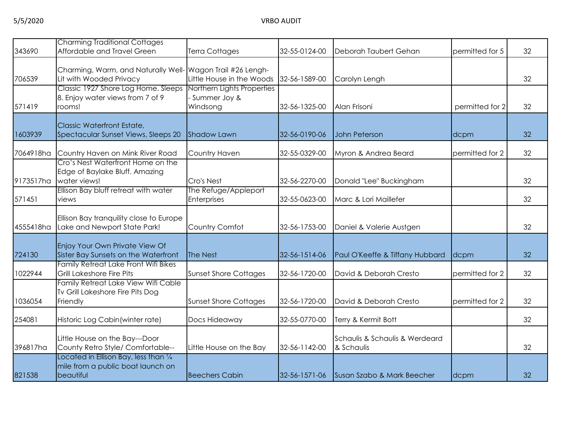| 343690    | <b>Charming Traditional Cottages</b><br>Affordable and Travel Green                                                                                              | Terra Cottages                                                          | 32-55-0124-00 | Deborah Taubert Gehan                        | permitted for 5 | 32 |
|-----------|------------------------------------------------------------------------------------------------------------------------------------------------------------------|-------------------------------------------------------------------------|---------------|----------------------------------------------|-----------------|----|
| 706539    | Charming, Warm, and Naturally Well- Wagon Trail #26 Lengh-<br>Lit with Wooded Privacy<br>Classic 1927 Shore Log Home. Sleeps<br>8. Enjoy water views from 7 of 9 | Little House in the Woods<br>Northern Lights Properties<br>Summer Joy & | 32-56-1589-00 | Carolyn Lengh                                |                 | 32 |
| 571419    | rooms!                                                                                                                                                           | Windsong                                                                | 32-56-1325-00 | Alan Frisoni                                 | permitted for 2 | 32 |
| 1603939   | Classic Waterfront Estate,<br>Spectacular Sunset Views, Sleeps 20                                                                                                | <b>Shadow Lawn</b>                                                      | 32-56-0190-06 | John Peterson                                | dcpm            | 32 |
| 7064918ha | Country Haven on Mink River Road                                                                                                                                 | Country Haven                                                           | 32-55-0329-00 | Myron & Andrea Beard                         | permitted for 2 | 32 |
| 9173517ha | Cro's Nest Waterfront Home on the<br>Edge of Baylake Bluff. Amazing<br>water views!                                                                              | Cro's Nest                                                              | 32-56-2270-00 | Donald "Lee" Buckingham                      |                 | 32 |
| 571451    | Ellison Bay bluff retreat with water<br>views                                                                                                                    | The Refuge/Appleport<br>Enterprises                                     | 32-55-0623-00 | Marc & Lori Maillefer                        |                 | 32 |
| 4555418ha | Ellison Bay tranquility close to Europe<br>Lake and Newport State Park!                                                                                          | Country Comfot                                                          | 32-56-1753-00 | Daniel & Valerie Austgen                     |                 | 32 |
| 724130    | Enjoy Your Own Private View Of<br>Sister Bay Sunsets on the Waterfront                                                                                           | The Nest                                                                | 32-56-1514-06 | Paul O'Keeffe & Tiffany Hubbard              | dcpm            | 32 |
| 1022944   | Family Retreat Lake Front Wifi Bikes<br>Grill Lakeshore Fire Pits                                                                                                | <b>Sunset Shore Cottages</b>                                            | 32-56-1720-00 | David & Deborah Cresto                       | permitted for 2 | 32 |
| 1036054   | Family Retreat Lake View Wifi Cable<br>Tv Grill Lakeshore Fire Pits Dog<br>Friendly                                                                              | <b>Sunset Shore Cottages</b>                                            | 32-56-1720-00 | David & Deborah Cresto                       | permitted for 2 | 32 |
| 254081    | Historic Log Cabin (winter rate)                                                                                                                                 | Docs Hideaway                                                           | 32-55-0770-00 | Terry & Kermit Bott                          |                 | 32 |
| 396817ha  | Little House on the Bay---Door<br>County Retro Style/ Comfortable--                                                                                              | Little House on the Bay                                                 | 32-56-1142-00 | Schaulis & Schaulis & Werdeard<br>& Schaulis |                 | 32 |
| 821538    | Located in Ellison Bay, less than 1/4<br>mile from a public boat launch on<br>beautiful                                                                          | <b>Beechers Cabin</b>                                                   | 32-56-1571-06 | Susan Szabo & Mark Beecher                   | dcpm            | 32 |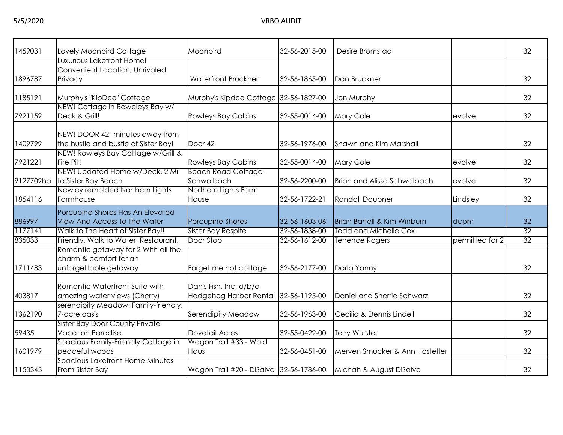| 1459031   | Lovely Moonbird Cottage                                                                | Moonbird                                                       | 32-56-2015-00 | Desire Bromstad                        |                 | 32              |
|-----------|----------------------------------------------------------------------------------------|----------------------------------------------------------------|---------------|----------------------------------------|-----------------|-----------------|
|           | Luxurious Lakefront Home!<br>Convenient Location, Unrivaled                            |                                                                |               |                                        |                 |                 |
| 1896787   | Privacy                                                                                | Waterfront Bruckner                                            | 32-56-1865-00 | Dan Bruckner                           |                 | 32              |
| 1185191   | Murphy's "KipDee" Cottage                                                              | Murphy's Kipdee Cottage 32-56-1827-00                          |               | Jon Murphy                             |                 | 32              |
| 7921159   | NEW! Cottage in Roweleys Bay w/<br>Deck & Grill!                                       | <b>Rowleys Bay Cabins</b>                                      | 32-55-0014-00 | Mary Cole                              | evolve          | 32              |
| 1409799   | NEW! DOOR 42- minutes away from<br>the hustle and bustle of Sister Bay!                | Door 42                                                        | 32-56-1976-00 | Shawn and Kim Marshall                 |                 | 32              |
| 7921221   | NEW! Rowleys Bay Cottage w/Grill &<br>Fire Pit!                                        | <b>Rowleys Bay Cabins</b>                                      | 32-55-0014-00 | Mary Cole                              | evolve          | 32              |
| 9127709ha | NEW! Updated Home w/Deck, 2 Mi<br>to Sister Bay Beach                                  | <b>Beach Road Cottage -</b><br>Schwalbach                      | 32-56-2200-00 | <b>Brian and Alissa Schwalbach</b>     | evolve          | 32              |
| 1854116   | Newley remolded Northern Lights<br>Farmhouse                                           | Northern Lights Farm<br>House                                  | 32-56-1722-21 | <b>Randall Daubner</b>                 | Lindsley        | 32              |
| 886997    | Porcupine Shores Has An Elevated<br>View And Access To The Water                       | Porcupine Shores                                               | 32-56-1603-06 | <b>Brian Bartell &amp; Kim Winburn</b> | dcpm            | 32              |
| 1177141   | Walk to The Heart of Sister Bay!!                                                      | Sister Bay Respite                                             | 32-56-1838-00 | <b>Todd and Michelle Cox</b>           |                 | $\overline{32}$ |
| 835033    | Friendly, Walk to Water, Restaurant,                                                   | Door Stop                                                      | 32-56-1612-00 | <b>Terrence Rogers</b>                 | permitted for 2 | 32              |
| 1711483   | Romantic getaway for 2 With all the<br>charm & comfort for an<br>unforgettable getaway | Forget me not cottage                                          | 32-56-2177-00 | Darla Yanny                            |                 | 32              |
| 403817    | Romantic Waterfront Suite with<br>amazing water views (Cherry)                         | Dan's Fish, Inc. d/b/a<br>Hedgehog Harbor Rental 32-56-1195-00 |               | Daniel and Sherrie Schwarz             |                 | 32              |
| 1362190   | serendipity Meadow: Family-friendly,<br>7-acre oasis                                   | Serendipity Meadow                                             | 32-56-1963-00 | Cecilia & Dennis Lindell               |                 | 32              |
| 59435     | <b>Sister Bay Door County Private</b><br><b>Vacation Paradise</b>                      | Dovetail Acres                                                 | 32-55-0422-00 | Terry Wurster                          |                 | 32              |
| 1601979   | Spacious Family-Friendly Cottage in<br>peaceful woods                                  | Wagon Trail #33 - Wald<br>Haus                                 | 32-56-0451-00 | Merven Smucker & Ann Hostetler         |                 | 32              |
| 1153343   | Spacious Lakefront Home Minutes<br>From Sister Bay                                     | Wagon Trail #20 - DiSalvo 32-56-1786-00                        |               | Michah & August DiSalvo                |                 | 32              |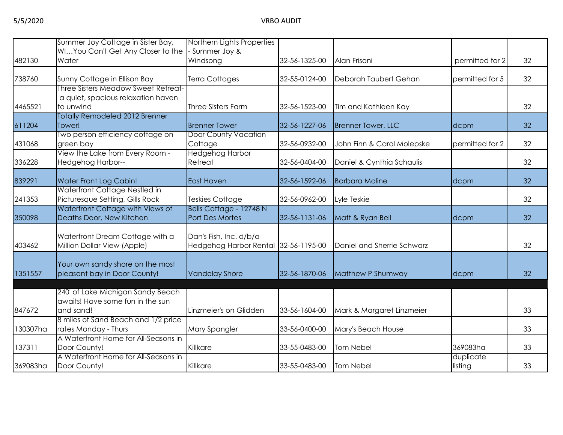|          | Summer Joy Cottage in Sister Bay,                                   | Northern Lights Properties  |               |                            |                 |    |
|----------|---------------------------------------------------------------------|-----------------------------|---------------|----------------------------|-----------------|----|
|          | WIYou Can't Get Any Closer to the                                   | Summer Joy &                |               |                            |                 |    |
| 482130   | Water                                                               | Windsong                    | 32-56-1325-00 | Alan Frisoni               | permitted for 2 | 32 |
|          |                                                                     |                             |               |                            |                 |    |
| 738760   | Sunny Cottage in Ellison Bay<br>Three Sisters Meadow Sweet Retreat- | Terra Cottages              | 32-55-0124-00 | Deborah Taubert Gehan      | permitted for 5 | 32 |
|          |                                                                     |                             |               |                            |                 |    |
|          | a quiet, spacious relaxation haven                                  |                             |               |                            |                 |    |
| 4465521  | to unwind                                                           | <b>Three Sisters Farm</b>   | 32-56-1523-00 | Tim and Kathleen Kay       |                 | 32 |
|          | <b>Totally Remodeled 2012 Brenner</b>                               |                             |               |                            |                 |    |
| 611204   | Tower!                                                              | <b>Brenner Tower</b>        | 32-56-1227-06 | <b>Brenner Tower, LLC</b>  | dcpm            | 32 |
|          | Two person efficiency cottage on                                    | <b>Door County Vacation</b> |               |                            |                 |    |
| 431068   | green bay                                                           | Cottage                     | 32-56-0932-00 | John Finn & Carol Molepske | permitted for 2 | 32 |
|          | View the Lake from Every Room -                                     | <b>Hedgehog Harbor</b>      |               |                            |                 |    |
| 336228   | Hedgehog Harbor--                                                   | Retreat                     | 32-56-0404-00 | Daniel & Cynthia Schaulis  |                 | 32 |
|          |                                                                     |                             |               |                            |                 |    |
| 839291   | Water Front Log Cabin!                                              | <b>East Haven</b>           | 32-56-1592-06 | <b>Barbara Moline</b>      | dcpm            | 32 |
|          | Waterfront Cottage Nestled in                                       |                             |               |                            |                 |    |
| 241353   | Picturesque Setting, Gills Rock                                     | <b>Teskies Cottage</b>      | 32-56-0962-00 | Lyle Teskie                |                 | 32 |
|          | Waterfront Cottage with Views of                                    | Bells Cottage - 12748 N     |               |                            |                 |    |
| 350098   | Deaths Door, New Kitchen                                            | <b>Port Des Mortes</b>      | 32-56-1131-06 | Matt & Ryan Bell           | dcpm            | 32 |
|          |                                                                     |                             |               |                            |                 |    |
|          | Waterfront Dream Cottage with a                                     | Dan's Fish, Inc. d/b/a      |               |                            |                 |    |
| 403462   | Million Dollar View (Apple)                                         | Hedgehog Harbor Rental      | 32-56-1195-00 | Daniel and Sherrie Schwarz |                 | 32 |
|          |                                                                     |                             |               |                            |                 |    |
|          | Your own sandy shore on the most                                    |                             |               |                            |                 |    |
| 1351557  | pleasant bay in Door County!                                        | <b>Vandelay Shore</b>       | 32-56-1870-06 | Matthew P Shumway          | dcpm            | 32 |
|          |                                                                     |                             |               |                            |                 |    |
|          | 240' of Lake Michigan Sandy Beach                                   |                             |               |                            |                 |    |
|          | awaits! Have some fun in the sun                                    |                             |               |                            |                 |    |
| 847672   | and sand!                                                           | Linzmeier's on Glidden      | 33-56-1604-00 | Mark & Margaret Linzmeier  |                 | 33 |
|          | 8 miles of Sand Beach and 1/2 price                                 |                             |               |                            |                 |    |
| 130307ha | rates Monday - Thurs                                                | Mary Spangler               | 33-56-0400-00 | Mary's Beach House         |                 | 33 |
|          | A Waterfront Home for All-Seasons in                                |                             |               |                            |                 |    |
| 137311   | Door County!                                                        | Killkare                    | 33-55-0483-00 | Tom Nebel                  | 369083ha        | 33 |
|          | A Waterfront Home for All-Seasons in                                |                             |               |                            | duplicate       |    |
| 369083ha | Door County!                                                        | Killkare                    | 33-55-0483-00 | Tom Nebel                  | listing         | 33 |
|          |                                                                     |                             |               |                            |                 |    |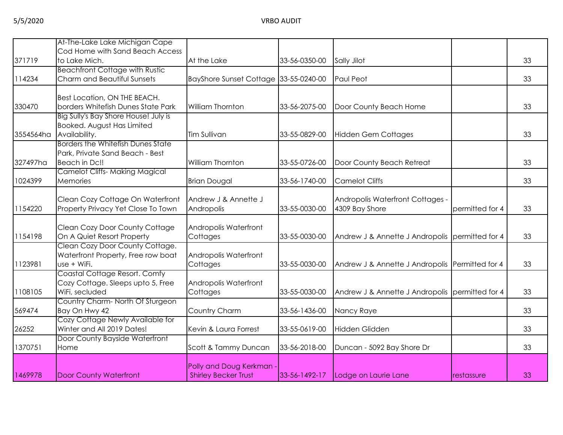|           | At-The-Lake Lake Michigan Cape                                     |                                       |               |                                                    |                 |    |
|-----------|--------------------------------------------------------------------|---------------------------------------|---------------|----------------------------------------------------|-----------------|----|
|           | Cod Home with Sand Beach Access                                    |                                       |               |                                                    |                 |    |
| 371719    | to Lake Mich.                                                      | At the Lake                           | 33-56-0350-00 | Sally Jilot                                        |                 | 33 |
|           | <b>Beachfront Cottage with Rustic</b>                              |                                       |               |                                                    |                 |    |
| 114234    | Charm and Beautiful Sunsets                                        | BayShore Sunset Cottage 33-55-0240-00 |               | Paul Peot                                          |                 | 33 |
|           |                                                                    |                                       |               |                                                    |                 |    |
| 330470    | Best Location, ON THE BEACH.<br>borders Whitefish Dunes State Park | William Thornton                      | 33-56-2075-00 | Door County Beach Home                             |                 | 33 |
|           | Big Sully's Bay Shore House! July is                               |                                       |               |                                                    |                 |    |
|           | Booked. August Has Limited                                         |                                       |               |                                                    |                 |    |
| 3554564ha | Availability.                                                      | Tim Sullivan                          | 33-55-0829-00 | <b>Hidden Gem Cottages</b>                         |                 | 33 |
|           | <b>Borders the Whitefish Dunes State</b>                           |                                       |               |                                                    |                 |    |
|           | Park, Private Sand Beach - Best                                    |                                       |               |                                                    |                 |    |
| 327497ha  | Beach in Dc!!                                                      | William Thornton                      | 33-55-0726-00 | Door County Beach Retreat                          |                 | 33 |
|           | <b>Camelot Cliffs-Making Magical</b>                               |                                       |               |                                                    |                 |    |
| 1024399   | Memories                                                           | <b>Brian Dougal</b>                   | 33-56-1740-00 | <b>Camelot Cliffs</b>                              |                 | 33 |
|           |                                                                    |                                       |               |                                                    |                 |    |
| 1154220   | Clean Cozy Cottage On Waterfront                                   | Andrew J & Annette J                  | 33-55-0030-00 | Andropolis Waterfront Cottages -<br>4309 Bay Shore | permitted for 4 | 33 |
|           | Property Privacy Yet Close To Town                                 | Andropolis                            |               |                                                    |                 |    |
|           | Clean Cozy Door County Cottage                                     | Andropolis Waterfront                 |               |                                                    |                 |    |
| 1154198   | On A Quiet Resort Property                                         | Cottages                              | 33-55-0030-00 | Andrew J & Annette J Andropolis permitted for 4    |                 | 33 |
|           | Clean Cozy Door County Cottage.                                    |                                       |               |                                                    |                 |    |
|           | Waterfront Property, Free row boat                                 | Andropolis Waterfront                 |               |                                                    |                 |    |
| 1123981   | use + WiFi.                                                        | Cottages                              | 33-55-0030-00 | Andrew J & Annette J Andropolis Permitted for 4    |                 | 33 |
|           | Coastal Cottage Resort. Comfy                                      |                                       |               |                                                    |                 |    |
|           | Cozy Cottage. Sleeps upto 5, Free                                  | Andropolis Waterfront                 |               |                                                    |                 |    |
| 1108105   | WiFi, secluded                                                     | Cottages                              | 33-55-0030-00 | Andrew J & Annette J Andropolis permitted for 4    |                 | 33 |
| 569474    | Country Charm- North Of Sturgeon<br>Bay On Hwy 42                  | Country Charm                         | 33-56-1436-00 | Nancy Raye                                         |                 | 33 |
|           | Cozy Cottage Newly Available for                                   |                                       |               |                                                    |                 |    |
| 26252     | Winter and All 2019 Dates!                                         | Kevin & Laura Forrest                 | 33-55-0619-00 | Hidden Glidden                                     |                 | 33 |
|           | Door County Bayside Waterfront                                     |                                       |               |                                                    |                 |    |
| 1370751   | Home                                                               | Scott & Tammy Duncan                  | 33-56-2018-00 | Duncan - 5092 Bay Shore Dr                         |                 | 33 |
|           |                                                                    |                                       |               |                                                    |                 |    |
|           |                                                                    | Polly and Doug Kerkman                |               |                                                    |                 |    |
| 1469978   | <b>Door County Waterfront</b>                                      | <b>Shirley Becker Trust</b>           | 33-56-1492-17 | Lodge on Laurie Lane                               | restassure      | 33 |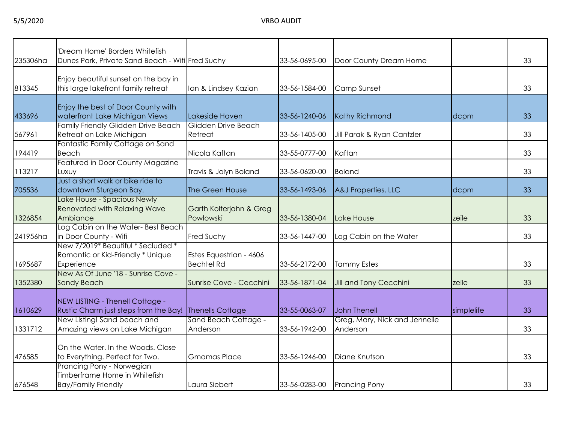| 235306ha | 'Dream Home' Borders Whitefish<br>Dunes Park, Private Sand Beach - Wifi Fred Suchy       |                                              | 33-56-0695-00 | Door County Dream Home                    |            | 33 |
|----------|------------------------------------------------------------------------------------------|----------------------------------------------|---------------|-------------------------------------------|------------|----|
| 813345   | Enjoy beautiful sunset on the bay in<br>this large lakefront family retreat              | Ian & Lindsey Kazian                         | 33-56-1584-00 | Camp Sunset                               |            | 33 |
| 433696   | Enjoy the best of Door County with<br>waterfront Lake Michigan Views                     | Lakeside Haven                               | 33-56-1240-06 | <b>Kathy Richmond</b>                     | dcpm       | 33 |
| 567961   | Family Friendly Glidden Drive Beach<br>Retreat on Lake Michigan                          | Glidden Drive Beach<br>Retreat               | 33-56-1405-00 | Jill Parak & Ryan Cantzler                |            | 33 |
| 194419   | Fantastic Family Cottage on Sand<br>Beach                                                | Nicola Kaftan                                | 33-55-0777-00 | Kaftan                                    |            | 33 |
| 113217   | Featured in Door County Magazine<br>Luxuy                                                | Travis & Jolyn Boland                        | 33-56-0620-00 | <b>Boland</b>                             |            | 33 |
| 705536   | Just a short walk or bike ride to<br>downtown Sturgeon Bay.                              | The Green House                              | 33-56-1493-06 | A&J Properties, LLC                       | dcpm       | 33 |
| 1326854  | Lake House - Spacious Newly<br>Renovated with Relaxing Wave<br>Ambiance                  | Garth Kolterjahn & Greg<br>Powlowski         | 33-56-1380-04 | Lake House                                | zeile      | 33 |
| 241956ha | Log Cabin on the Water-Best Beach<br>in Door County - Wifi                               | Fred Suchy                                   | 33-56-1447-00 | Log Cabin on the Water                    |            | 33 |
| 1695687  | New 7/2019* Beautiful * Secluded *<br>Romantic or Kid-Friendly * Unique<br>Experience    | Estes Equestrian - 4606<br><b>Bechtel Rd</b> | 33-56-2172-00 | <b>Tammy Estes</b>                        |            | 33 |
| 1352380  | New As Of June '18 - Sunrise Cove -<br><b>Sandy Beach</b>                                | Sunrise Cove - Cecchini                      | 33-56-1871-04 | Jill and Tony Cecchini                    | zeile      | 33 |
| 1610629  | NEW LISTING - Thenell Cottage -<br>Rustic Charm just steps from the Bay!                 | <b>Thenells Cottage</b>                      | 33-55-0063-07 | John Thenell                              | simplelife | 33 |
| 1331712  | New Listing! Sand beach and<br>Amazing views on Lake Michigan                            | Sand Beach Cottage -<br>Anderson             | 33-56-1942-00 | Greg, Mary, Nick and Jennelle<br>Anderson |            | 33 |
| 476585   | On the Water. In the Woods. Close<br>to Everything. Perfect for Two.                     | <b>Gmamas Place</b>                          | 33-56-1246-00 | Diane Knutson                             |            | 33 |
| 676548   | Prancing Pony - Norwegian<br>Timberframe Home in Whitefish<br><b>Bay/Family Friendly</b> | Laura Siebert                                | 33-56-0283-00 | <b>Prancing Pony</b>                      |            | 33 |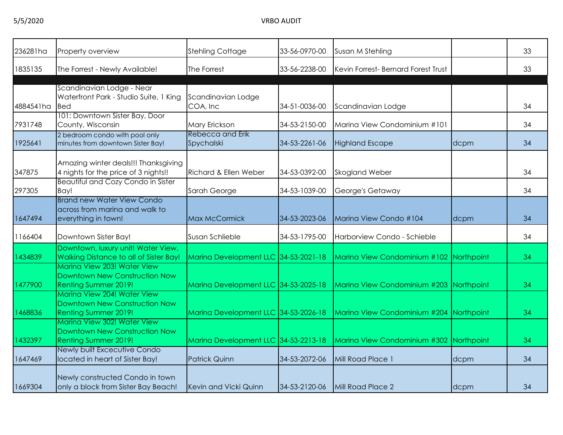| 236281ha  | Property overview                                                                                                          | <b>Stehling Cottage</b>               | 33-56-0970-00 | Susan M Stehling                        |      | 33 |
|-----------|----------------------------------------------------------------------------------------------------------------------------|---------------------------------------|---------------|-----------------------------------------|------|----|
| 1835135   | The Forrest - Newly Available!                                                                                             | The Forrest                           | 33-56-2238-00 | Kevin Forrest- Bernard Forest Trust     |      | 33 |
| 4884541ha | Scandinavian Lodge - Near<br>Waterfront Park - Studio Suite, 1 King<br><b>Bed</b>                                          | Scandinavian Lodge<br>COA, Inc        | 34-51-0036-00 | Scandinavian Lodge                      |      | 34 |
| 7931748   | 101: Downtown Sister Bay, Door<br>County, Wisconsin                                                                        | Mary Erickson                         | 34-53-2150-00 | Marina View Condominium #101            |      | 34 |
| 1925641   | 2 bedroom condo with pool only<br>minutes from downtown Sister Bay!                                                        | <b>Rebecca and Erik</b><br>Spychalski | 34-53-2261-06 | <b>Highland Escape</b>                  | dcpm | 34 |
| 347875    | Amazing winter deals!!! Thanksgiving<br>4 nights for the price of 3 nights!!                                               | <b>Richard &amp; Ellen Weber</b>      | 34-53-0392-00 | <b>Skogland Weber</b>                   |      | 34 |
| 297305    | Beautiful and Cozy Condo in Sister<br>Bay!                                                                                 | Sarah George                          | 34-53-1039-00 | George's Getaway                        |      | 34 |
| 1647494   | <b>Brand new Water View Condo</b><br>across from marina and walk to<br>everything in town!                                 | Max McCormick                         | 34-53-2023-06 | Marina View Condo #104                  | dcpm | 34 |
| 1166404   | Downtown Sister Bay!                                                                                                       | Susan Schlieble                       | 34-53-1795-00 | Harborview Condo - Schieble             |      | 34 |
| 1434839   | Downtown, luxury unit! Water View,<br>Walking Distance to all of Sister Bay!<br>Marina View 203! Water View                | Marina Development LLC 34-53-2021-18  |               | Marina View Condominium #102 Northpoint |      | 34 |
| 1477900   | Downtown New Construction Now<br>Renting Summer 2019!                                                                      | Marina Development LLC 34-53-2025-18  |               | Marina View Condominium #203 Northpoint |      | 34 |
| 1468836   | Marina View 204! Water View<br>Downtown New Construction Now<br><b>Renting Summer 2019!</b><br>Marina View 302! Water View | Marina Development LLC 34-53-2026-18  |               | Marina View Condominium #204 Northpoint |      | 34 |
| 1432397   | Downtown New Construction Now<br><b>Renting Summer 2019!</b>                                                               | Marina Development LLC 34-53-2213-18  |               | Marina View Condominium #302 Northpoint |      | 34 |
| 1647469   | Newly built Excecutive Condo<br>located in heart of Sister Bay!                                                            | <b>Patrick Quinn</b>                  | 34-53-2072-06 | Mill Road Place 1                       | dcpm | 34 |
| 1669304   | Newly constructed Condo in town<br>only a block from Sister Bay Beach!                                                     | Kevin and Vicki Quinn                 | 34-53-2120-06 | Mill Road Place 2                       | dcpm | 34 |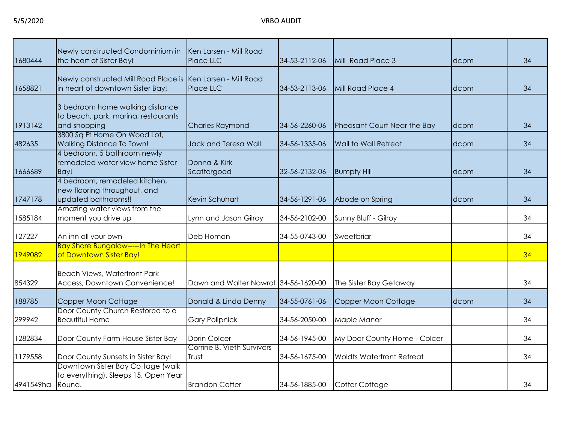| 1680444   | Newly constructed Condominium in<br>the heart of Sister Bay!                                    | Ken Larsen - Mill Road<br>Place LLC  | 34-53-2112-06 | Mill Road Place 3                | dcpm | 34 |
|-----------|-------------------------------------------------------------------------------------------------|--------------------------------------|---------------|----------------------------------|------|----|
| 1658821   | Newly constructed Mill Road Place is Ken Larsen - Mill Road<br>in heart of downtown Sister Bay! | Place LLC                            | 34-53-2113-06 | Mill Road Place 4                | dcpm | 34 |
| 1913142   | 3 bedroom home walking distance<br>to beach, park, marina, restaurants<br>and shopping          | <b>Charles Raymond</b>               | 34-56-2260-06 | Pheasant Court Near the Bay      | dcpm | 34 |
| 482635    | 3800 Sq Ft Home On Wood Lot,<br><b>Walking Distance To Town!</b>                                | Jack and Teresa Wall                 | 34-56-1335-06 | <b>Wall to Wall Retreat</b>      | dcpm | 34 |
| 1666689   | 4 bedroom, 5 bathroom newly<br>remodeled water view home Sister<br>Bay!                         | Donna & Kirk<br>Scattergood          | 32-56-2132-06 | <b>Bumpfy Hill</b>               | dcpm | 34 |
| 1747178   | 4 bedroom, remodeled kitchen,<br>new flooring throughout, and<br>updated bathrooms!!            | Kevin Schuhart                       | 34-56-1291-06 | Abode on Spring                  | dcpm | 34 |
| 1585184   | Amazing water views from the<br>moment you drive up                                             | Lynn and Jason Gilroy                | 34-56-2102-00 | Sunny Bluff - Gilroy             |      | 34 |
| 127227    | An inn all your own                                                                             | Deb Homan                            | 34-55-0743-00 | Sweetbriar                       |      | 34 |
| 1949082   | <b>Bay Shore Bungalow-----In The Heart</b><br>of Downtown Sister Bay!                           |                                      |               |                                  |      | 34 |
| 854329    | <b>Beach Views, Waterfront Park</b><br>Access, Downtown Convenience!                            | Dawn and Walter Nawrot 34-56-1620-00 |               | The Sister Bay Getaway           |      | 34 |
| 188785    | Copper Moon Cottage                                                                             | Donald & Linda Denny                 | 34-55-0761-06 | Copper Moon Cottage              | dcpm | 34 |
| 299942    | Door County Church Restored to a<br><b>Beautiful Home</b>                                       | <b>Gary Polipnick</b>                | 34-56-2050-00 | Maple Manor                      |      | 34 |
| 1282834   | Door County Farm House Sister Bay                                                               | Dorin Colcer                         | 34-56-1945-00 | My Door County Home - Colcer     |      | 34 |
| 1179558   | Door County Sunsets in Sister Bay!                                                              | Corrine B. Vieth Survivors<br>Trust  | 34-56-1675-00 | <b>Woldts Waterfront Retreat</b> |      | 34 |
| 4941549ha | Downtown Sister Bay Cottage (walk)<br>to everything), Sleeps 15, Open Year<br>Round.            | <b>Brandon Cotter</b>                | 34-56-1885-00 | Cotter Cottage                   |      | 34 |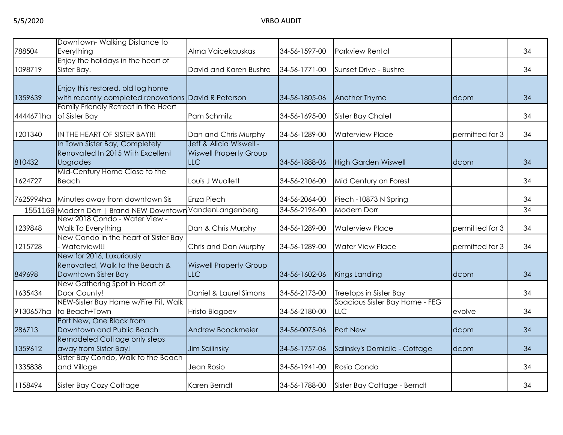| 788504    | Downtown-Walking Distance to<br>Everything                                                | Alma Vaicekauskas                                                      | 34-56-1597-00 | <b>Parkview Rental</b>                       |                 | 34 |
|-----------|-------------------------------------------------------------------------------------------|------------------------------------------------------------------------|---------------|----------------------------------------------|-----------------|----|
| 1098719   | Enjoy the holidays in the heart of<br>Sister Bay.                                         | David and Karen Bushre                                                 | 34-56-1771-00 | Sunset Drive - Bushre                        |                 | 34 |
| 1359639   | Enjoy this restored, old log home<br>with recently completed renovations David R Peterson |                                                                        | 34-56-1805-06 | Another Thyme                                | dcpm            | 34 |
| 4444671ha | Family Friendly Retreat in the Heart<br>of Sister Bay                                     | Pam Schmitz                                                            | 34-56-1695-00 | <b>Sister Bay Chalet</b>                     |                 | 34 |
| 1201340   | IN THE HEART OF SISTER BAY!!!                                                             | Dan and Chris Murphy                                                   | 34-56-1289-00 | <b>Waterview Place</b>                       | permitted for 3 | 34 |
| 810432    | In Town Sister Bay, Completely<br>Renovated In 2015 With Excellent<br><b>Upgrades</b>     | Jeff & Alicia Wiswell -<br><b>Wiswell Property Group</b><br><b>LLC</b> | 34-56-1888-06 | <b>High Garden Wiswell</b>                   | dcpm            | 34 |
| 1624727   | Mid-Century Home Close to the<br>Beach                                                    | Louis J Wuollett                                                       | 34-56-2106-00 | Mid Century on Forest                        |                 | 34 |
| 7625994ha | Minutes away from downtown Sis                                                            | Enza Piech                                                             | 34-56-2064-00 | Piech -10873 N Spring                        |                 | 34 |
|           | 1551169 Modern Dörr   Brand NEW Downtowr                                                  | VandenLangenberg                                                       | 34-56-2196-00 | <b>Modern Dorr</b>                           |                 | 34 |
| 1239848   | New 2018 Condo - Water View -<br>Walk To Everything                                       | Dan & Chris Murphy                                                     | 34-56-1289-00 | <b>Waterview Place</b>                       | permitted for 3 | 34 |
| 1215728   | New Condo in the heart of Sister Bay<br>Waterview!!!                                      | Chris and Dan Murphy                                                   | 34-56-1289-00 | <b>Water View Place</b>                      | permitted for 3 | 34 |
| 849698    | New for 2016, Luxuriously<br>Renovated, Walk to the Beach &<br>Downtown Sister Bay        | <b>Wiswell Property Group</b><br><b>LLC</b>                            | 34-56-1602-06 | Kings Landing                                | dcpm            | 34 |
| 1635434   | New Gathering Spot in Heart of<br>Door County!                                            | Daniel & Laurel Simons                                                 | 34-56-2173-00 | Treetops in Sister Bay                       |                 | 34 |
| 9130657ha | NEW-Sister Bay Home w/Fire Pit, Walk<br>to Beach+Town                                     | <b>Hristo Blagoev</b>                                                  | 34-56-2180-00 | Spacious Sister Bay Home - FEG<br><b>LLC</b> | evolve          | 34 |
| 286713    | Port New, One Block from<br>Downtown and Public Beach                                     | Andrew Boockmeier                                                      | 34-56-0075-06 | Port New                                     | dcpm            | 34 |
| 1359612   | Remodeled Cottage only steps<br>away from Sister Bay!                                     | Jim Sailinsky                                                          | 34-56-1757-06 | Salinsky's Domicile - Cottage                | dcpm            | 34 |
| 1335838   | Sister Bay Condo, Walk to the Beach<br>and Village                                        | Jean Rosio                                                             | 34-56-1941-00 | Rosio Condo                                  |                 | 34 |
| 1158494   | Sister Bay Cozy Cottage                                                                   | Karen Berndt                                                           | 34-56-1788-00 | Sister Bay Cottage - Berndt                  |                 | 34 |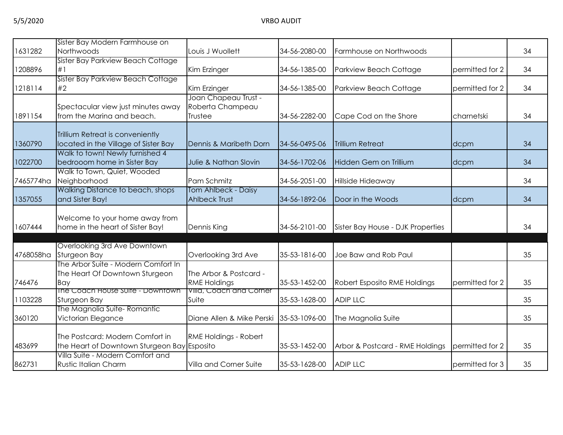|           | Sister Bay Modern Farmhouse on                                                 |                                                     |               |                                   |                 |    |
|-----------|--------------------------------------------------------------------------------|-----------------------------------------------------|---------------|-----------------------------------|-----------------|----|
| 1631282   | Northwoods<br>Sister Bay Parkview Beach Cottage                                | Louis J Wuollett                                    | 34-56-2080-00 | Farmhouse on Northwoods           |                 | 34 |
| 1208896   | #1                                                                             | Kim Erzinger                                        | 34-56-1385-00 | Parkview Beach Cottage            | permitted for 2 | 34 |
| 1218114   | Sister Bay Parkview Beach Cottage<br>#2                                        | Kim Erzinger                                        | 34-56-1385-00 | Parkview Beach Cottage            | permitted for 2 | 34 |
| 1891154   | Spectacular view just minutes away<br>from the Marina and beach.               | Joan Chapeau Trust -<br>Roberta Champeau<br>Trustee | 34-56-2282-00 | Cape Cod on the Shore             | charnetski      | 34 |
| 1360790   | Trillium Retreat is conveniently<br>located in the Village of Sister Bay       | Dennis & Maribeth Dorn                              | 34-56-0495-06 | <b>Trillium Retreat</b>           | dcpm            | 34 |
| 1022700   | Walk to town! Newly furnished 4<br>bedrooom home in Sister Bay                 | Julie & Nathan Slovin                               | 34-56-1702-06 | Hidden Gem on Trillium            | dcpm            | 34 |
| 7465774ha | Walk to Town, Quiet, Wooded<br>Neighborhood                                    | Pam Schmitz                                         | 34-56-2051-00 | Hillside Hideaway                 |                 | 34 |
| 1357055   | Walking Distance to beach, shops<br>and Sister Bay!                            | Tom Ahlbeck - Daisy<br><b>Ahlbeck Trust</b>         | 34-56-1892-06 | Door in the Woods                 | dcpm            | 34 |
| 1607444   | Welcome to your home away from<br>home in the heart of Sister Bay!             | Dennis King                                         | 34-56-2101-00 | Sister Bay House - DJK Properties |                 | 34 |
| 4768058ha | Overlooking 3rd Ave Downtown<br>Sturgeon Bay                                   | Overlooking 3rd Ave                                 | 35-53-1816-00 | Joe Baw and Rob Paul              |                 | 35 |
| 746476    | The Arbor Suite - Modern Comfort In<br>The Heart Of Downtown Sturgeon<br>Bay   | The Arbor & Postcard -<br><b>RME Holdings</b>       | 35-53-1452-00 | Robert Esposito RME Holdings      | permitted for 2 | 35 |
| 1103228   | The Coach House Suite - Downtown<br>Sturgeon Bay                               | Villa, Coach and Corner<br>Suite                    | 35-53-1628-00 | <b>ADIP LLC</b>                   |                 | 35 |
| 360120    | The Magnolia Suite-Romantic<br>Victorian Elegance                              | Diane Allen & Mike Perski 35-53-1096-00             |               | The Magnolia Suite                |                 | 35 |
| 483699    | The Postcard: Modern Comfort in<br>the Heart of Downtown Sturgeon Bay Esposito | RME Holdings - Robert                               | 35-53-1452-00 | Arbor & Postcard - RME Holdings   | permitted for 2 | 35 |
| 862731    | Villa Suite - Modern Comfort and<br><b>Rustic Italian Charm</b>                | Villa and Corner Suite                              | 35-53-1628-00 | <b>ADIP LLC</b>                   | permitted for 3 | 35 |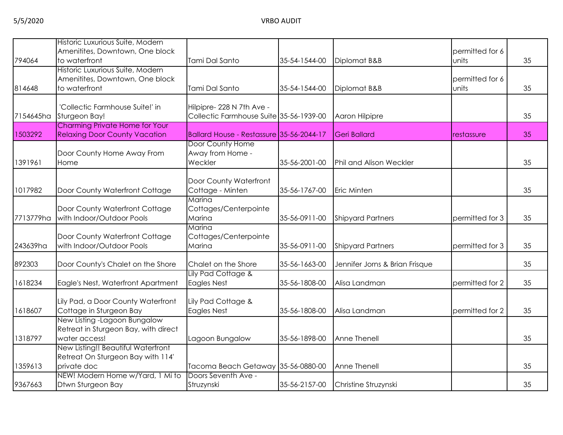| 794064    | Historic Luxurious Suite, Modern<br>Amenitites, Downtown, One block<br>to waterfront   | Tami Dal Santo                                                       | 35-54-1544-00 | Diplomat B&B                   | permitted for 6<br>units | 35 |
|-----------|----------------------------------------------------------------------------------------|----------------------------------------------------------------------|---------------|--------------------------------|--------------------------|----|
| 814648    | Historic Luxurious Suite, Modern<br>Amenitites, Downtown, One block<br>to waterfront   | Tami Dal Santo                                                       | 35-54-1544-00 | Diplomat B&B                   | permitted for 6<br>units | 35 |
| 7154645ha | 'Collectic Farmhouse Suite!' in<br>Sturgeon Bay!                                       | Hilpipre- 228 N 7th Ave -<br>Collectic Farmhouse Suite 35-56-1939-00 |               | Aaron Hilpipre                 |                          | 35 |
| 1503292   | Charming Private Home for Your<br><b>Relaxing Door County Vacation</b>                 | Ballard House - Restassure 35-56-2044-17                             |               | <b>Geri Ballard</b>            | restassure               | 35 |
| 1391961   | Door County Home Away From<br>Home                                                     | Door County Home<br>Away from Home -<br>Weckler                      | 35-56-2001-00 | <b>Phil and Alison Weckler</b> |                          | 35 |
| 1017982   | Door County Waterfront Cottage                                                         | Door County Waterfront<br>Cottage - Minten                           | 35-56-1767-00 | Eric Minten                    |                          | 35 |
| 7713779ha | Door County Waterfront Cottage<br>with Indoor/Outdoor Pools                            | Marina<br>Cottages/Centerpointe<br>Marina                            | 35-56-0911-00 | <b>Shipyard Partners</b>       | permitted for 3          | 35 |
| 243639ha  | Door County Waterfront Cottage<br>with Indoor/Outdoor Pools                            | Marina<br>Cottages/Centerpointe<br>Marina                            | 35-56-0911-00 | <b>Shipyard Partners</b>       | permitted for 3          | 35 |
| 892303    | Door County's Chalet on the Shore                                                      | Chalet on the Shore                                                  | 35-56-1663-00 | Jennifer Jorns & Brian Frisque |                          | 35 |
| 1618234   | Eagle's Nest, Waterfront Apartment                                                     | Lily Pad Cottage &<br>Eagles Nest                                    | 35-56-1808-00 | Alisa Landman                  | permitted for 2          | 35 |
| 1618607   | Lily Pad, a Door County Waterfront<br>Cottage in Sturgeon Bay                          | Lily Pad Cottage &<br><b>Eagles Nest</b>                             | 35-56-1808-00 | Alisa Landman                  | permitted for 2          | 35 |
| 1318797   | New Listing - Lagoon Bungalow<br>Retreat in Sturgeon Bay, with direct<br>water access! | Lagoon Bungalow                                                      | 35-56-1898-00 | Anne Thenell                   |                          | 35 |
| 1359613   | New Listing!! Beautiful Waterfront<br>Retreat On Sturgeon Bay with 114'<br>private doc | Tacoma Beach Getaway 35-56-0880-00                                   |               | Anne Thenell                   |                          | 35 |
| 9367663   | NEW! Modern Home w/Yard, 1 Mi to<br>Dtwn Sturgeon Bay                                  | Doors Seventh Ave -<br>Struzynski                                    | 35-56-2157-00 | Christine Struzynski           |                          | 35 |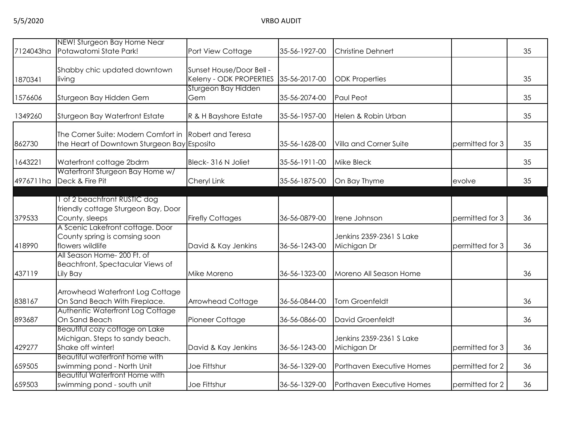| 7124043ha | NEW! Sturgeon Bay Home Near<br>Potawatomi State Park!                                  | Port View Cottage                                   | 35-56-1927-00 | <b>Christine Dehnert</b>                |                 | 35 |
|-----------|----------------------------------------------------------------------------------------|-----------------------------------------------------|---------------|-----------------------------------------|-----------------|----|
| 1870341   | Shabby chic updated downtown<br>living                                                 | Sunset House/Door Bell -<br>Keleny - ODK PROPERTIES | 35-56-2017-00 | <b>ODK Properties</b>                   |                 | 35 |
| 1576606   | Sturgeon Bay Hidden Gem                                                                | Sturgeon Bay Hidden<br>Gem                          | 35-56-2074-00 | Paul Peot                               |                 | 35 |
| 1349260   | Sturgeon Bay Waterfront Estate                                                         | R & H Bayshore Estate                               | 35-56-1957-00 | Helen & Robin Urban                     |                 | 35 |
| 862730    | The Corner Suite: Modern Comfort in<br>the Heart of Downtown Sturgeon Bay              | Robert and Teresa<br>Esposito                       | 35-56-1628-00 | Villa and Corner Suite                  | permitted for 3 | 35 |
| 1643221   | Waterfront cottage 2bdrm                                                               | Bleck-316 N Joliet                                  | 35-56-1911-00 | <b>Mike Bleck</b>                       |                 | 35 |
| 4976711ha | Waterfront Sturgeon Bay Home w/<br>Deck & Fire Pit                                     | Cheryl Link                                         | 35-56-1875-00 | On Bay Thyme                            | evolve          | 35 |
| 379533    | 1 of 2 beachfront RUSTIC dog<br>friendly cottage Sturgeon Bay, Door<br>County, sleeps  | <b>Firefly Cottages</b>                             | 36-56-0879-00 | Irene Johnson                           | permitted for 3 | 36 |
| 418990    | A Scenic Lakefront cottage. Door<br>County spring is comsing soon<br>flowers wildlife  | David & Kay Jenkins                                 | 36-56-1243-00 | Jenkins 2359-2361 S Lake<br>Michigan Dr | permitted for 3 | 36 |
| 437119    | All Season Home- 200 Ft. of<br>Beachfront, Spectacular Views of<br>Lily Bay            | Mike Moreno                                         | 36-56-1323-00 | Moreno All Season Home                  |                 | 36 |
| 838167    | Arrowhead Waterfront Log Cottage<br>On Sand Beach With Fireplace.                      | Arrowhead Cottage                                   | 36-56-0844-00 | <b>Tom Groenfeldt</b>                   |                 | 36 |
| 893687    | Authentic Waterfront Log Cottage<br>On Sand Beach                                      | Pioneer Cottage                                     | 36-56-0866-00 | David Groenfeldt                        |                 | 36 |
| 429277    | Beautiful cozy cottage on Lake<br>Michigan. Steps to sandy beach.<br>Shake off winter! | David & Kay Jenkins                                 | 36-56-1243-00 | Jenkins 2359-2361 S Lake<br>Michigan Dr | permitted for 3 | 36 |
| 659505    | Beautiful waterfront home with<br>swimming pond - North Unit                           | Joe Fittshur                                        | 36-56-1329-00 | Porthaven Executive Homes               | permitted for 2 | 36 |
| 659503    | Beautiful Waterfront Home with<br>swimming pond - south unit                           | Joe Fittshur                                        | 36-56-1329-00 | Porthaven Executive Homes               | permitted for 2 | 36 |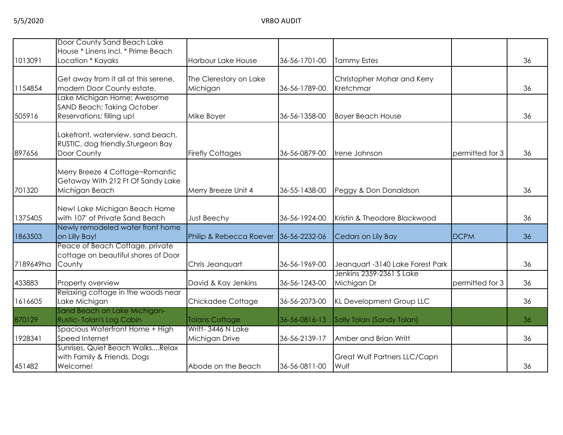|           | Door County Sand Beach Lake                                                            |                                     |               |                                          |                 |    |
|-----------|----------------------------------------------------------------------------------------|-------------------------------------|---------------|------------------------------------------|-----------------|----|
| 1013091   | House * Linens Incl. * Prime Beach<br>Location * Kayaks                                | <b>Harbour Lake House</b>           | 36-56-1701-00 | <b>Tammy Estes</b>                       |                 | 36 |
|           |                                                                                        |                                     |               |                                          |                 |    |
| 1154854   | Get away from it all at this serene,<br>modern Door County estate.                     | The Clerestory on Lake<br>Michigan  | 36-56-1789-00 | Christopher Mohar and Kerry<br>Kretchmar |                 | 36 |
|           | Lake Michigan Home; Awesome<br><b>SAND Beach; Taking October</b>                       |                                     |               |                                          |                 |    |
| 505916    | Reservations; filling up!                                                              | Mike Boyer                          | 36-56-1358-00 | <b>Boyer Beach House</b>                 |                 | 36 |
| 897656    | Lakefront, waterview, sand beach,<br>RUSTIC, dog friendly, Sturgeon Bay<br>Door County | <b>Firefly Cottages</b>             | 36-56-0879-00 | Irene Johnson                            | permitted for 3 | 36 |
| 701320    | Merry Breeze 4 Cottage~Romantic<br>Getaway With 212 Ft Of Sandy Lake<br>Michigan Beach | Merry Breeze Unit 4                 | 36-55-1438-00 | Peggy & Don Donaldson                    |                 | 36 |
| 1375405   | New! Lake Michigan Beach Home<br>with 107' of Private Sand Beach                       | Just Beechy                         | 36-56-1924-00 | Kristin & Theodore Blackwood             |                 | 36 |
| 1863503   | Newly remodeled water front home<br>on Lilly Bay!                                      | Philip & Rebecca Roever             | 36-56-2232-06 | Cedars on Lily Bay                       | <b>DCPM</b>     | 36 |
| 7189649ha | Peace of Beach Cottage, private<br>cottage on beautiful shores of Door<br>County       | Chris Jeanquart                     | 36-56-1969-00 | Jeanquart -3140 Lake Forest Park         |                 | 36 |
| 433883    | Property overview                                                                      | David & Kay Jenkins                 | 36-56-1243-00 | Jenkins 2359-2361 S Lake<br>Michigan Dr  | permitted for 3 | 36 |
| 1616605   | Relaxing cottage in the woods near<br>Lake Michigan                                    | Chickadee Cottage                   | 36-56-2073-00 | <b>KL Development Group LLC</b>          |                 | 36 |
| 870129    | Sand Beach on Lake Michigan-<br>Rustic-Tolan's Log Cabin                               | <b>Tolans Cottage</b>               | 36-56-0816-13 | Sally Tolan (Sandy Tolan)                |                 | 36 |
| 1928341   | Spacious Waterfront Home + High<br>Speed Internet                                      | Writt-3446 N Lake<br>Michigan Drive | 36-56-2139-17 | Amber and Brian Writt                    |                 | 36 |
| 451482    | Sunrises, Quiet Beach WalksRelax<br>with Family & Friends. Dogs<br>Welcome!            | Abode on the Beach                  | 36-56-0811-00 | Great Wulf Partners LLC/Capn<br>Wulf     |                 | 36 |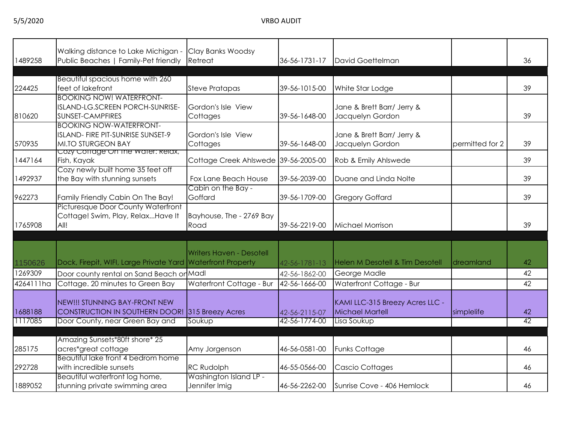| 1489258   | Walking distance to Lake Michigan -<br>Public Beaches   Family-Pet friendly                      | Clay Banks Woodsy<br>Retreat            | 36-56-1731-17 | David Goettelman                                   |                 | 36              |
|-----------|--------------------------------------------------------------------------------------------------|-----------------------------------------|---------------|----------------------------------------------------|-----------------|-----------------|
| 224425    | Beautiful spacious home with 260<br>feet of lakefront                                            | <b>Steve Pratapas</b>                   | 39-56-1015-00 | White Star Lodge                                   |                 | 39              |
| 810620    | <b>BOOKING NOW! WATERFRONT-</b><br>ISLAND-LG.SCREEN PORCH-SUNRISE-<br>SUNSET-CAMPFIRES           | Gordon's Isle View<br>Cottages          | 39-56-1648-00 | Jane & Brett Barr/ Jerry &<br>Jacquelyn Gordon     |                 | 39              |
| 570935    | <b>BOOKING NOW-WATERFRONT-</b><br>ISLAND- FIRE PIT-SUNRISE SUNSET-9<br><b>MI.TO STURGEON BAY</b> | Gordon's Isle View<br>Cottages          | 39-56-1648-00 | Jane & Brett Barr/ Jerry &<br>Jacquelyn Gordon     | permitted for 2 | 39              |
| 1447164   | Cozy Coffage On the water: Relax,<br>Fish, Kayak                                                 | Cottage Creek Ahlswede 39-56-2005-00    |               | Rob & Emily Ahlswede                               |                 | 39              |
| 1492937   | Cozy newly built home 35 feet off<br>the Bay with stunning sunsets                               | Fox Lane Beach House                    | 39-56-2039-00 | Duane and Linda Nolte                              |                 | 39              |
| 962273    | Family Friendly Cabin On The Bay!                                                                | Cabin on the Bay -<br>Goffard           | 39-56-1709-00 | <b>Gregory Goffard</b>                             |                 | 39              |
| 1765908   | Picturesque Door County Waterfront<br>Cottage! Swim, Play, RelaxHave It<br>All!                  | Bayhouse, The - 2769 Bay<br>Road        | 39-56-2219-00 | Michael Morrison                                   |                 | 39              |
| 1150626   | Dock, Firepit, WIFI, Large Private Yard Waterfront Property                                      | <b>Writers Haven - Desotell</b>         | 42-56-1781-13 | Helen M Desotell & Tim Desotell                    | dreamland       | 42              |
| 1269309   | Door county rental on Sand Beach or Madl                                                         |                                         | 42-56-1862-00 | George Madle                                       |                 | 42              |
| 4264111ha | Cottage. 20 minutes to Green Bay                                                                 | Waterfront Cottage - Bur                | 42-56-1666-00 | Waterfront Cottage - Bur                           |                 | 42              |
| 1688188   | NEW!!! STUNNING BAY-FRONT NEW<br>CONSTRUCTION IN SOUTHERN DOOR! 315 Breezy Acres                 |                                         | 42-56-2115-07 | KAMI LLC-315 Breezy Acres LLC -<br>Michael Martell | simplelife      | 42              |
| 1117085   | Door County, near Green Bay and                                                                  | Soukup                                  | 42-56-1774-00 | Lisa Soukup                                        |                 | $\overline{42}$ |
| 285175    | Amazing Sunsets*80ft shore* 25<br>acres*great cottage                                            | Amy Jorgenson                           | 46-56-0581-00 | <b>Funks Cottage</b>                               |                 | 46              |
| 292728    | Beautiful lake front 4 bedrom home<br>with incredible sunsets                                    | <b>RC Rudolph</b>                       | 46-55-0566-00 | <b>Cascio Cottages</b>                             |                 | 46              |
| 1889052   | Beautiful waterfront log home,<br>stunning private swimming area                                 | Washington Island LP -<br>Jennifer Imig | 46-56-2262-00 | Sunrise Cove - 406 Hemlock                         |                 | 46              |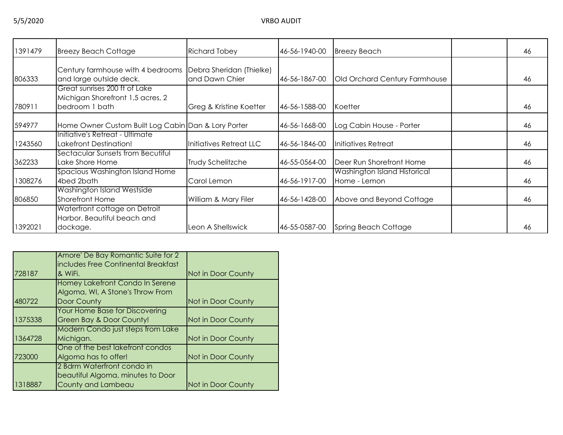| 1391479 | <b>Breezy Beach Cottage</b>                                                         | <b>Richard Tobey</b>                       | 46-56-1940-00 | <b>Breezy Beach</b>                          | 46 |
|---------|-------------------------------------------------------------------------------------|--------------------------------------------|---------------|----------------------------------------------|----|
| 806333  | Century farmhouse with 4 bedrooms<br>and large outside deck.                        | Debra Sheridan (Thielke)<br>and Dawn Chier | 46-56-1867-00 | Old Orchard Century Farmhouse                | 46 |
| 780911  | Great sunrises 200 ft of Lake<br>Michigan Shorefront 1.5 acres, 2<br>bedroom 1 bath | Greg & Kristine Koetter                    | 46-56-1588-00 | Koetter                                      | 46 |
| 594977  | Home Owner Custom Built Log Cabin Dan & Lory Porter                                 |                                            | 46-56-1668-00 | Log Cabin House - Porter                     | 46 |
| 1243560 | Initiative's Retreat - Ultimate<br>Lakefront Destination!                           | Initiatives Retreat LLC                    | 46-56-1846-00 | Initiatives Retreat                          | 46 |
| 362233  | Sectacular Sunsets from Becutiful<br>Lake Shore Home                                | Trudy Schelitzche                          | 46-55-0564-00 | Deer Run Shorefront Home                     | 46 |
| 1308276 | Spacious Washington Island Home<br>4bed 2bath                                       | Carol Lemon                                | 46-56-1917-00 | Washington Island Historical<br>Home - Lemon | 46 |
| 806850  | Washington Island Westside<br>Shorefront Home                                       | William & Mary Filer                       | 46-56-1428-00 | Above and Beyond Cottage                     | 46 |
| 1392021 | Waterfront cottage on Detroit<br>Harbor. Beautiful beach and<br>dockage.            | Leon A Shellswick                          | 46-55-0587-00 | Spring Beach Cottage                         | 46 |

|         | Amore' De Bay Romantic Suite for 2    |                    |
|---------|---------------------------------------|--------------------|
|         | includes Free Continental Breakfast   |                    |
| 728187  | & WiFi.                               | Not in Door County |
|         | Homey Lakefront Condo In Serene       |                    |
|         | Algoma, WI, A Stone's Throw From      |                    |
| 480722  | Door County                           | Not in Door County |
|         | <b>Your Home Base for Discovering</b> |                    |
| 1375338 | Green Bay & Door County!              | Not in Door County |
|         | Modern Condo just steps from Lake     |                    |
| 1364728 | Michigan.                             | Not in Door County |
|         | One of the best lakefront condos      |                    |
| 723000  | Algoma has to offer!                  | Not in Door County |
|         | 2 Bdrm Waterfront condo in            |                    |
|         | beautiful Algoma, minutes to Door     |                    |
| 1318887 | County and Lambeau                    | Not in Door County |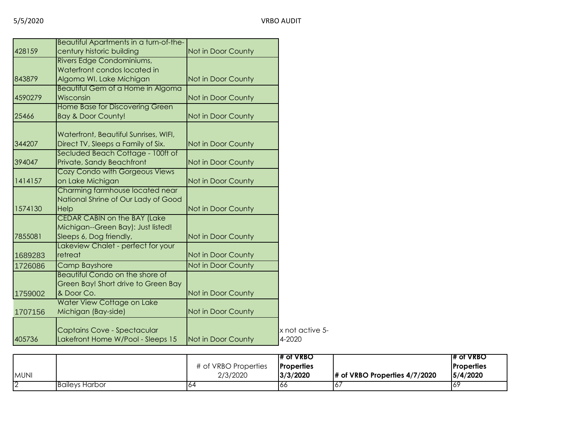|         | Beautiful Apartments in a turn-of-the-                                  |                    |                 |
|---------|-------------------------------------------------------------------------|--------------------|-----------------|
| 428159  | century historic building                                               | Not in Door County |                 |
|         | Rivers Edge Condominiums,                                               |                    |                 |
|         | Waterfront condos located in                                            |                    |                 |
| 843879  | Algoma WI. Lake Michigan                                                | Not in Door County |                 |
|         | Beautiful Gem of a Home in Algoma                                       |                    |                 |
| 4590279 | Wisconsin                                                               | Not in Door County |                 |
| 25466   | <b>Home Base for Discovering Green</b><br><b>Bay &amp; Door County!</b> | Not in Door County |                 |
|         | Waterfront, Beautiful Sunrises, WIFI,                                   |                    |                 |
| 344207  | Direct TV, Sleeps a Family of Six.                                      | Not in Door County |                 |
|         | Secluded Beach Cottage - 100ft of                                       |                    |                 |
| 394047  | Private, Sandy Beachfront                                               | Not in Door County |                 |
|         | Cozy Condo with Gorgeous Views                                          |                    |                 |
| 1414157 | on Lake Michigan                                                        | Not in Door County |                 |
|         | Charming farmhouse located near<br>National Shrine of Our Lady of Good  |                    |                 |
| 1574130 | Help                                                                    | Not in Door County |                 |
|         | <b>CEDAR CABIN on the BAY (Lake</b>                                     |                    |                 |
|         | Michigan--Green Bay): Just listed!                                      |                    |                 |
| 7855081 | Sleeps 6, Dog friendly,                                                 | Not in Door County |                 |
|         | Lakeview Chalet - perfect for your                                      |                    |                 |
| 1689283 | retreat                                                                 | Not in Door County |                 |
| 1726086 | <b>Camp Bayshore</b>                                                    | Not in Door County |                 |
|         | Beautiful Condo on the shore of                                         |                    |                 |
|         | Green Bay! Short drive to Green Bay                                     |                    |                 |
| 1759002 | & Door Co.                                                              | Not in Door County |                 |
|         | Water View Cottage on Lake                                              | Not in Door County |                 |
| 1707156 | Michigan (Bay-side)                                                     |                    |                 |
|         | Captains Cove - Spectacular                                             |                    | x not active 5- |
| 405736  | Lakefront Home W/Pool - Sleeps 15                                       | Not in Door County | 4-2020          |
|         |                                                                         |                    |                 |

|             |                       |                      | <b>T# of VRBO</b> |                                  | T# of VRBO        |
|-------------|-----------------------|----------------------|-------------------|----------------------------------|-------------------|
|             |                       | # of VRBO Properties | <b>Properties</b> |                                  | <b>Properties</b> |
| <b>MUNI</b> |                       | 2/3/2020             | 3/3/2020          | $\#$ of VRBO Properties 4/7/2020 | 15/4/2020         |
|             | <b>Baileys Harbor</b> |                      | 166               | ю.                               | 16 <sup>c</sup>   |